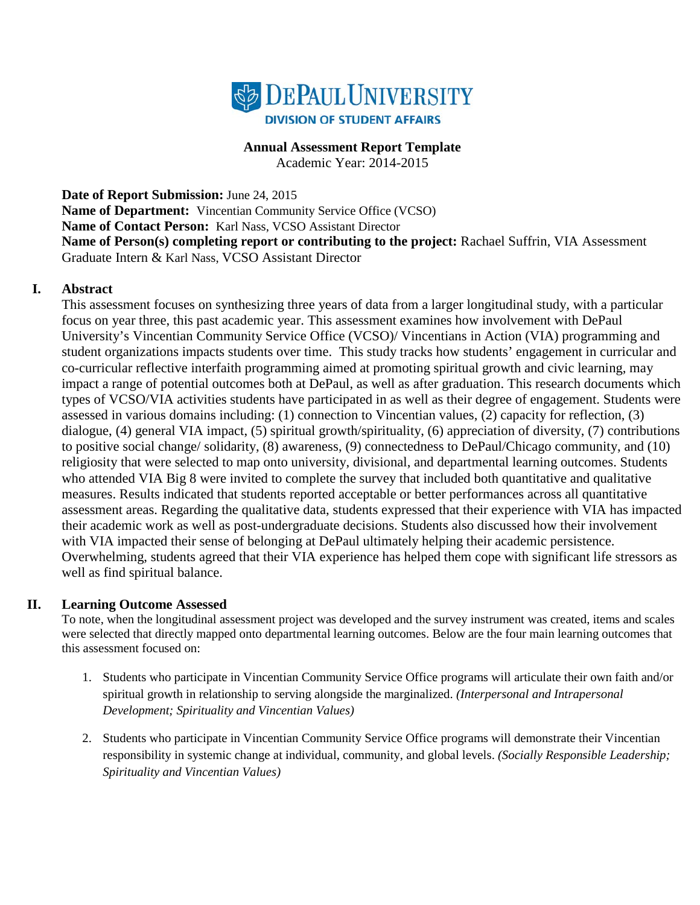

**Annual Assessment Report Template** Academic Year: 2014-2015

**Date of Report Submission:** June 24, 2015 **Name of Department:** Vincentian Community Service Office (VCSO) **Name of Contact Person:** Karl Nass, VCSO Assistant Director **Name of Person(s) completing report or contributing to the project:** Rachael Suffrin, VIA Assessment Graduate Intern & Karl Nass, VCSO Assistant Director

# **I. Abstract**

This assessment focuses on synthesizing three years of data from a larger longitudinal study, with a particular focus on year three, this past academic year. This assessment examines how involvement with DePaul University's Vincentian Community Service Office (VCSO)/ Vincentians in Action (VIA) programming and student organizations impacts students over time. This study tracks how students' engagement in curricular and co-curricular reflective interfaith programming aimed at promoting spiritual growth and civic learning, may impact a range of potential outcomes both at DePaul, as well as after graduation. This research documents which types of VCSO/VIA activities students have participated in as well as their degree of engagement. Students were assessed in various domains including: (1) connection to Vincentian values, (2) capacity for reflection, (3) dialogue, (4) general VIA impact, (5) spiritual growth/spirituality, (6) appreciation of diversity, (7) contributions to positive social change/ solidarity, (8) awareness, (9) connectedness to DePaul/Chicago community, and (10) religiosity that were selected to map onto university, divisional, and departmental learning outcomes. Students who attended VIA Big 8 were invited to complete the survey that included both quantitative and qualitative measures. Results indicated that students reported acceptable or better performances across all quantitative assessment areas. Regarding the qualitative data, students expressed that their experience with VIA has impacted their academic work as well as post-undergraduate decisions. Students also discussed how their involvement with VIA impacted their sense of belonging at DePaul ultimately helping their academic persistence. Overwhelming, students agreed that their VIA experience has helped them cope with significant life stressors as well as find spiritual balance.

### **II. Learning Outcome Assessed**

To note, when the longitudinal assessment project was developed and the survey instrument was created, items and scales were selected that directly mapped onto departmental learning outcomes. Below are the four main learning outcomes that this assessment focused on:

- 1. Students who participate in Vincentian Community Service Office programs will articulate their own faith and/or spiritual growth in relationship to serving alongside the marginalized. *(Interpersonal and Intrapersonal Development; Spirituality and Vincentian Values)*
- 2. Students who participate in Vincentian Community Service Office programs will demonstrate their Vincentian responsibility in systemic change at individual, community, and global levels. *(Socially Responsible Leadership; Spirituality and Vincentian Values)*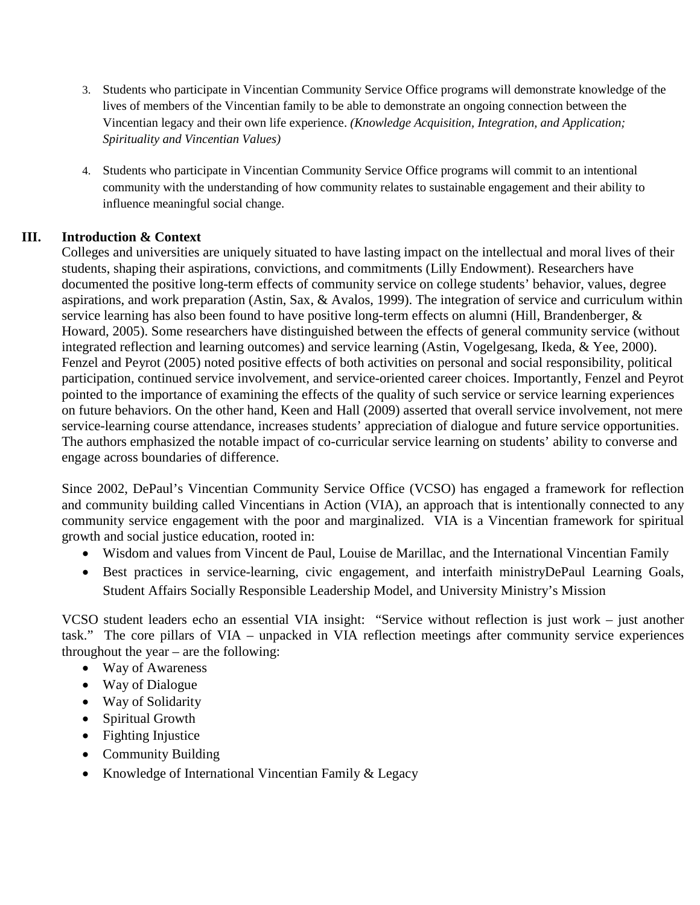- 3. Students who participate in Vincentian Community Service Office programs will demonstrate knowledge of the lives of members of the Vincentian family to be able to demonstrate an ongoing connection between the Vincentian legacy and their own life experience. *(Knowledge Acquisition, Integration, and Application; Spirituality and Vincentian Values)*
- 4. Students who participate in Vincentian Community Service Office programs will commit to an intentional community with the understanding of how community relates to sustainable engagement and their ability to influence meaningful social change.

# **III. Introduction & Context**

Colleges and universities are uniquely situated to have lasting impact on the intellectual and moral lives of their students, shaping their aspirations, convictions, and commitments (Lilly Endowment). Researchers have documented the positive long-term effects of community service on college students' behavior, values, degree aspirations, and work preparation (Astin, Sax, & Avalos, 1999). The integration of service and curriculum within service learning has also been found to have positive long-term effects on alumni (Hill, Brandenberger, & Howard, 2005). Some researchers have distinguished between the effects of general community service (without integrated reflection and learning outcomes) and service learning (Astin, Vogelgesang, Ikeda, & Yee, 2000). Fenzel and Peyrot (2005) noted positive effects of both activities on personal and social responsibility, political participation, continued service involvement, and service-oriented career choices. Importantly, Fenzel and Peyrot pointed to the importance of examining the effects of the quality of such service or service learning experiences on future behaviors. On the other hand, Keen and Hall (2009) asserted that overall service involvement, not mere service-learning course attendance, increases students' appreciation of dialogue and future service opportunities. The authors emphasized the notable impact of co-curricular service learning on students' ability to converse and engage across boundaries of difference.

Since 2002, DePaul's Vincentian Community Service Office (VCSO) has engaged a framework for reflection and community building called Vincentians in Action (VIA), an approach that is intentionally connected to any community service engagement with the poor and marginalized. VIA is a Vincentian framework for spiritual growth and social justice education, rooted in:

- Wisdom and values from Vincent de Paul, Louise de Marillac, and the International Vincentian Family
- Best practices in service-learning, civic engagement, and interfaith ministryDePaul Learning Goals, Student Affairs Socially Responsible Leadership Model, and University Ministry's Mission

VCSO student leaders echo an essential VIA insight: "Service without reflection is just work – just another task." The core pillars of VIA – unpacked in VIA reflection meetings after community service experiences throughout the year – are the following:

- Way of Awareness
- Way of Dialogue
- Way of Solidarity
- Spiritual Growth
- Fighting Injustice
- Community Building
- Knowledge of International Vincentian Family & Legacy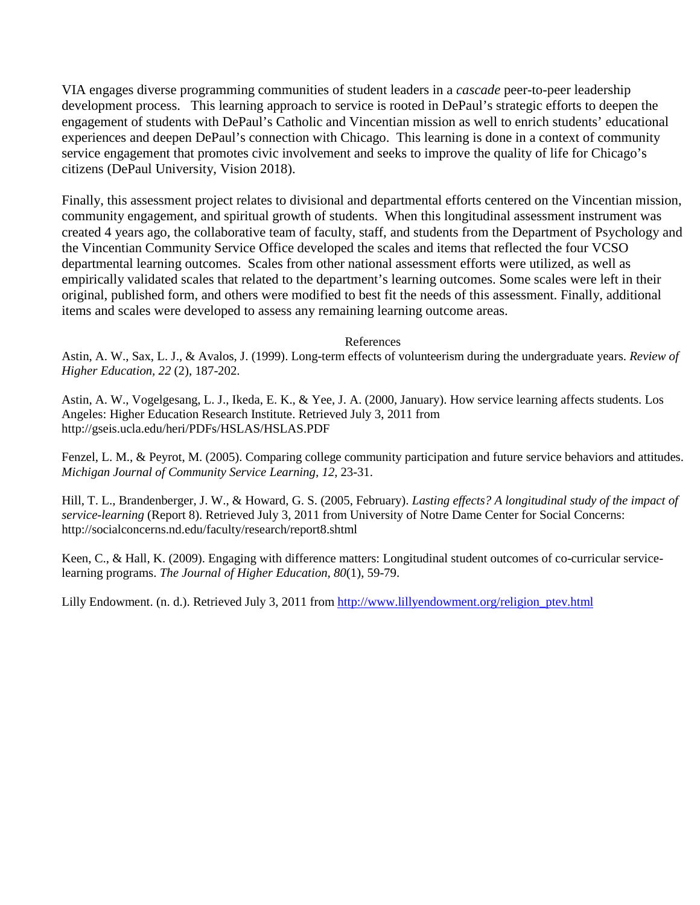VIA engages diverse programming communities of student leaders in a *cascade* peer-to-peer leadership development process. This learning approach to service is rooted in DePaul's strategic efforts to deepen the engagement of students with DePaul's Catholic and Vincentian mission as well to enrich students' educational experiences and deepen DePaul's connection with Chicago. This learning is done in a context of community service engagement that promotes civic involvement and seeks to improve the quality of life for Chicago's citizens (DePaul University, Vision 2018).

Finally, this assessment project relates to divisional and departmental efforts centered on the Vincentian mission, community engagement, and spiritual growth of students. When this longitudinal assessment instrument was created 4 years ago, the collaborative team of faculty, staff, and students from the Department of Psychology and the Vincentian Community Service Office developed the scales and items that reflected the four VCSO departmental learning outcomes. Scales from other national assessment efforts were utilized, as well as empirically validated scales that related to the department's learning outcomes. Some scales were left in their original, published form, and others were modified to best fit the needs of this assessment. Finally, additional items and scales were developed to assess any remaining learning outcome areas.

References

Astin, A. W., Sax, L. J., & Avalos, J. (1999). Long-term effects of volunteerism during the undergraduate years. *Review of Higher Education, 22* (2), 187-202.

Astin, A. W., Vogelgesang, L. J., Ikeda, E. K., & Yee, J. A. (2000, January). How service learning affects students. Los Angeles: Higher Education Research Institute. Retrieved July 3, 2011 from http://gseis.ucla.edu/heri/PDFs/HSLAS/HSLAS.PDF

Fenzel, L. M., & Peyrot, M. (2005). Comparing college community participation and future service behaviors and attitudes. *Michigan Journal of Community Service Learning, 12*, 23-31.

Hill, T. L., Brandenberger, J. W., & Howard, G. S. (2005, February). *Lasting effects? A longitudinal study of the impact of service-learning* (Report 8). Retrieved July 3, 2011 from University of Notre Dame Center for Social Concerns: http://socialconcerns.nd.edu/faculty/research/report8.shtml

Keen, C., & Hall, K. (2009). Engaging with difference matters: Longitudinal student outcomes of co-curricular servicelearning programs. *The Journal of Higher Education, 80*(1), 59-79.

Lilly Endowment. (n. d.). Retrieved July 3, 2011 from [http://www.lillyendowment.org/religion\\_ptev.html](http://www.lillyendowment.org/religion_ptev.html)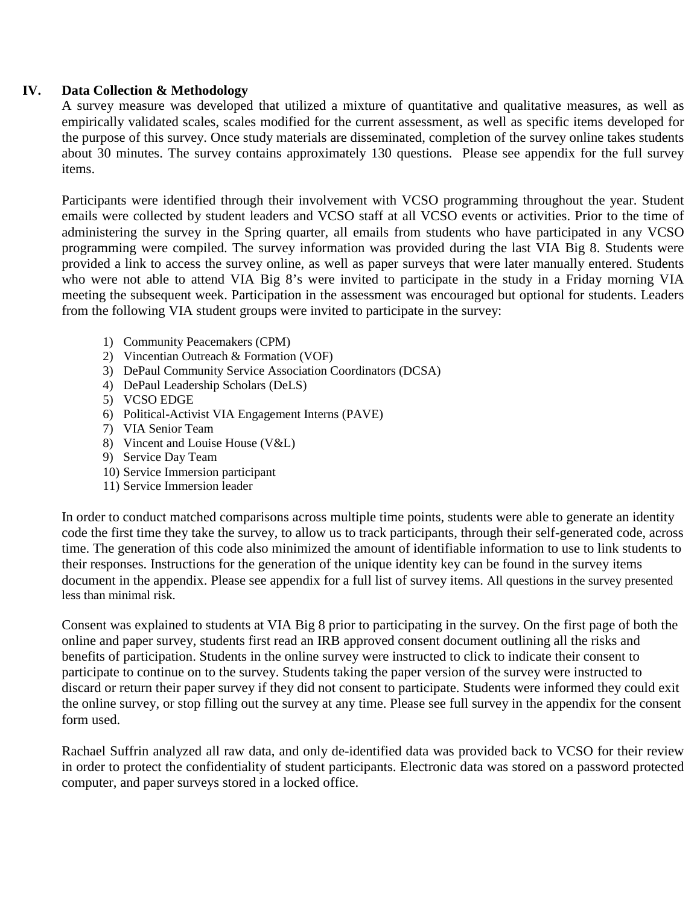# **IV. Data Collection & Methodology**

A survey measure was developed that utilized a mixture of quantitative and qualitative measures, as well as empirically validated scales, scales modified for the current assessment, as well as specific items developed for the purpose of this survey. Once study materials are disseminated, completion of the survey online takes students about 30 minutes. The survey contains approximately 130 questions. Please see appendix for the full survey items.

Participants were identified through their involvement with VCSO programming throughout the year. Student emails were collected by student leaders and VCSO staff at all VCSO events or activities. Prior to the time of administering the survey in the Spring quarter, all emails from students who have participated in any VCSO programming were compiled. The survey information was provided during the last VIA Big 8. Students were provided a link to access the survey online, as well as paper surveys that were later manually entered. Students who were not able to attend VIA Big 8's were invited to participate in the study in a Friday morning VIA meeting the subsequent week. Participation in the assessment was encouraged but optional for students. Leaders from the following VIA student groups were invited to participate in the survey:

- 1) Community Peacemakers (CPM)
- 2) Vincentian Outreach & Formation (VOF)
- 3) DePaul Community Service Association Coordinators (DCSA)
- 4) DePaul Leadership Scholars (DeLS)
- 5) VCSO EDGE
- 6) Political-Activist VIA Engagement Interns (PAVE)
- 7) VIA Senior Team
- 8) Vincent and Louise House (V&L)
- 9) Service Day Team
- 10) Service Immersion participant
- 11) Service Immersion leader

In order to conduct matched comparisons across multiple time points, students were able to generate an identity code the first time they take the survey, to allow us to track participants, through their self-generated code, across time. The generation of this code also minimized the amount of identifiable information to use to link students to their responses. Instructions for the generation of the unique identity key can be found in the survey items document in the appendix. Please see appendix for a full list of survey items. All questions in the survey presented less than minimal risk.

Consent was explained to students at VIA Big 8 prior to participating in the survey. On the first page of both the online and paper survey, students first read an IRB approved consent document outlining all the risks and benefits of participation. Students in the online survey were instructed to click to indicate their consent to participate to continue on to the survey. Students taking the paper version of the survey were instructed to discard or return their paper survey if they did not consent to participate. Students were informed they could exit the online survey, or stop filling out the survey at any time. Please see full survey in the appendix for the consent form used.

Rachael Suffrin analyzed all raw data, and only de-identified data was provided back to VCSO for their review in order to protect the confidentiality of student participants. Electronic data was stored on a password protected computer, and paper surveys stored in a locked office.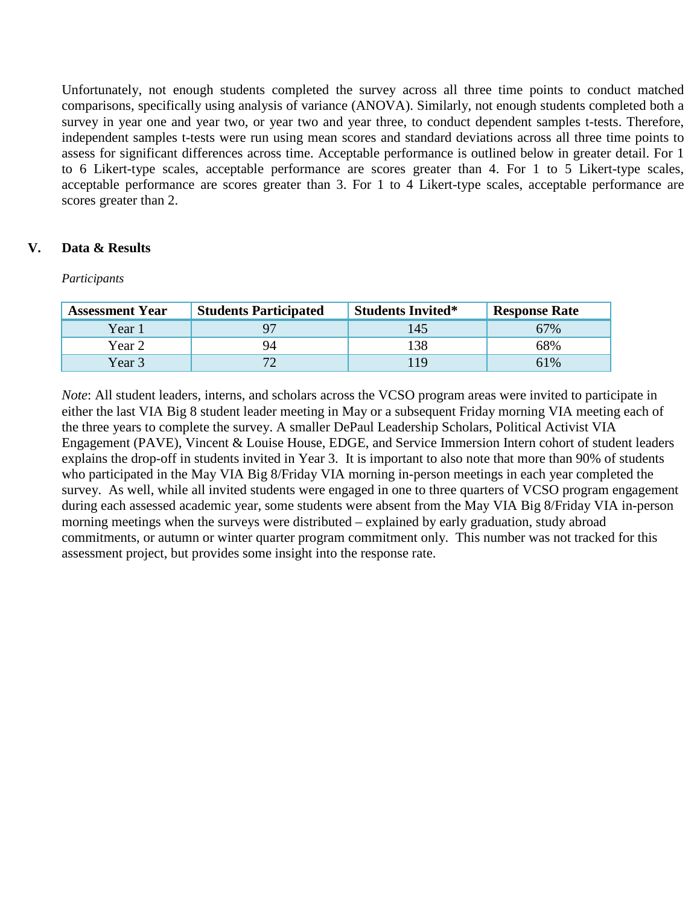Unfortunately, not enough students completed the survey across all three time points to conduct matched comparisons, specifically using analysis of variance (ANOVA). Similarly, not enough students completed both a survey in year one and year two, or year two and year three, to conduct dependent samples t-tests. Therefore, independent samples t-tests were run using mean scores and standard deviations across all three time points to assess for significant differences across time. Acceptable performance is outlined below in greater detail. For 1 to 6 Likert-type scales, acceptable performance are scores greater than 4. For 1 to 5 Likert-type scales, acceptable performance are scores greater than 3. For 1 to 4 Likert-type scales, acceptable performance are scores greater than 2.

# **V. Data & Results**

#### *Participants*

| <b>Assessment Year</b> | <b>Students Participated</b> | <b>Students Invited*</b> | <b>Response Rate</b> |
|------------------------|------------------------------|--------------------------|----------------------|
| Year 1                 |                              | 145                      | 67%                  |
| Year 2                 | 94                           | 38                       | 68%                  |
| Year 3                 |                              | 119                      | 61%                  |

*Note*: All student leaders, interns, and scholars across the VCSO program areas were invited to participate in either the last VIA Big 8 student leader meeting in May or a subsequent Friday morning VIA meeting each of the three years to complete the survey. A smaller DePaul Leadership Scholars, Political Activist VIA Engagement (PAVE), Vincent & Louise House, EDGE, and Service Immersion Intern cohort of student leaders explains the drop-off in students invited in Year 3. It is important to also note that more than 90% of students who participated in the May VIA Big 8/Friday VIA morning in-person meetings in each year completed the survey. As well, while all invited students were engaged in one to three quarters of VCSO program engagement during each assessed academic year, some students were absent from the May VIA Big 8/Friday VIA in-person morning meetings when the surveys were distributed – explained by early graduation, study abroad commitments, or autumn or winter quarter program commitment only. This number was not tracked for this assessment project, but provides some insight into the response rate.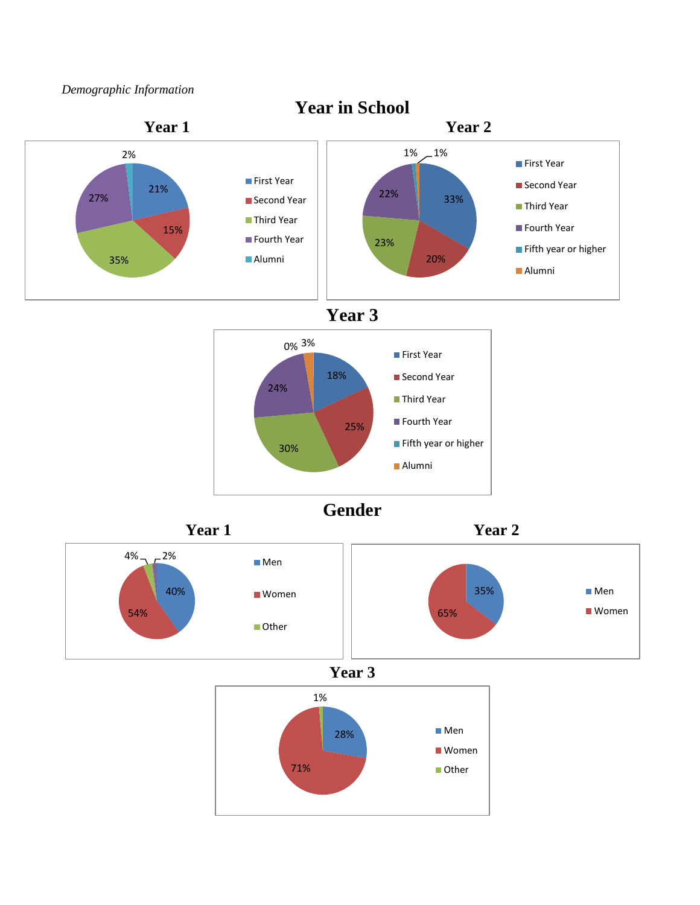

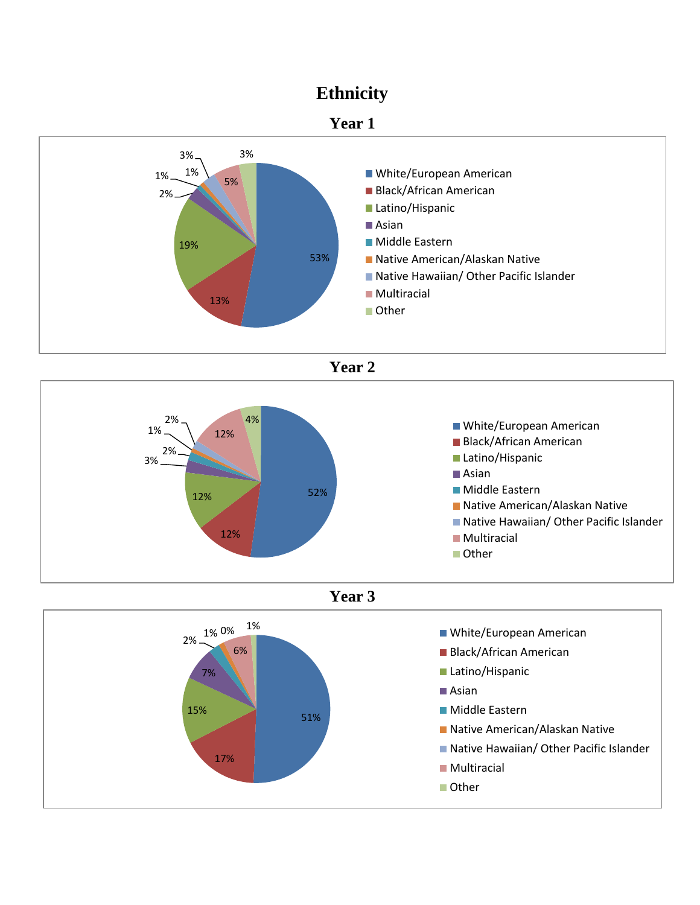# **Ethnicity**





**Year 2**





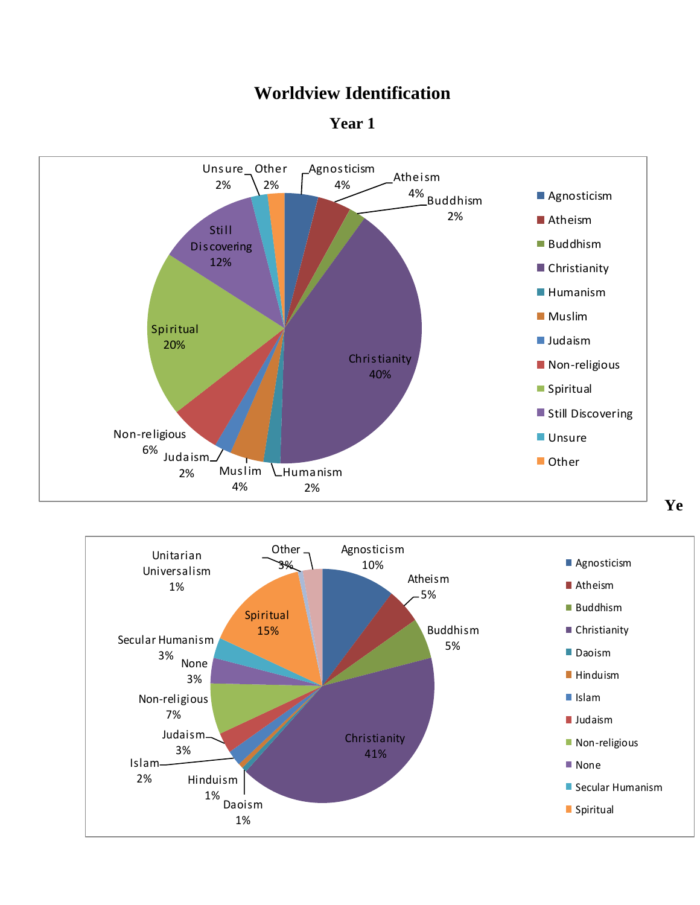# **Worldview Identification**

**Year 1**



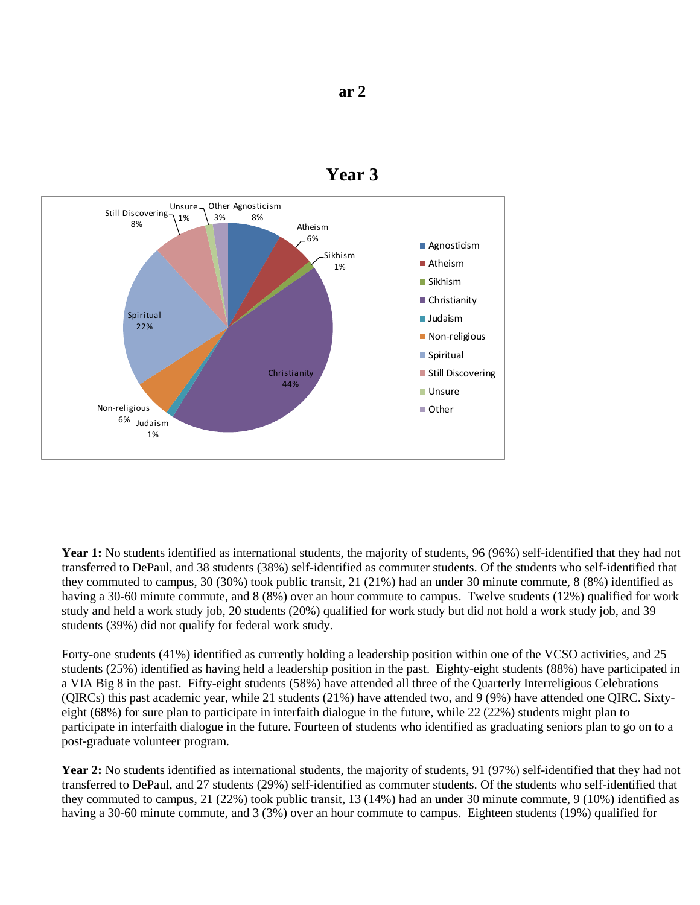



Year 1: No students identified as international students, the majority of students, 96 (96%) self-identified that they had not transferred to DePaul, and 38 students (38%) self-identified as commuter students. Of the students who self-identified that they commuted to campus, 30 (30%) took public transit, 21 (21%) had an under 30 minute commute, 8 (8%) identified as having a 30-60 minute commute, and 8 (8%) over an hour commute to campus. Twelve students (12%) qualified for work study and held a work study job, 20 students (20%) qualified for work study but did not hold a work study job, and 39 students (39%) did not qualify for federal work study.

Forty-one students (41%) identified as currently holding a leadership position within one of the VCSO activities, and 25 students (25%) identified as having held a leadership position in the past. Eighty-eight students (88%) have participated in a VIA Big 8 in the past. Fifty-eight students (58%) have attended all three of the Quarterly Interreligious Celebrations (QIRCs) this past academic year, while 21 students (21%) have attended two, and 9 (9%) have attended one QIRC. Sixtyeight (68%) for sure plan to participate in interfaith dialogue in the future, while 22 (22%) students might plan to participate in interfaith dialogue in the future. Fourteen of students who identified as graduating seniors plan to go on to a post-graduate volunteer program.

**Year 2:** No students identified as international students, the majority of students, 91 (97%) self-identified that they had not transferred to DePaul, and 27 students (29%) self-identified as commuter students. Of the students who self-identified that they commuted to campus, 21 (22%) took public transit, 13 (14%) had an under 30 minute commute, 9 (10%) identified as having a 30-60 minute commute, and 3 (3%) over an hour commute to campus. Eighteen students (19%) qualified for

**ar 2**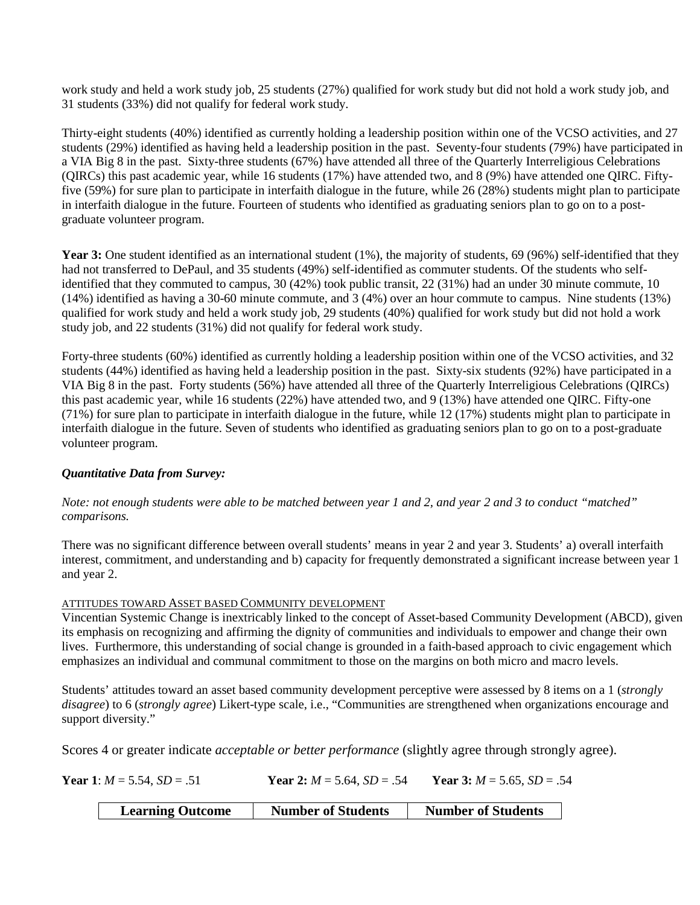work study and held a work study job, 25 students (27%) qualified for work study but did not hold a work study job, and 31 students (33%) did not qualify for federal work study.

Thirty-eight students (40%) identified as currently holding a leadership position within one of the VCSO activities, and 27 students (29%) identified as having held a leadership position in the past. Seventy-four students (79%) have participated in a VIA Big 8 in the past. Sixty-three students (67%) have attended all three of the Quarterly Interreligious Celebrations (QIRCs) this past academic year, while 16 students (17%) have attended two, and 8 (9%) have attended one QIRC. Fiftyfive (59%) for sure plan to participate in interfaith dialogue in the future, while 26 (28%) students might plan to participate in interfaith dialogue in the future. Fourteen of students who identified as graduating seniors plan to go on to a postgraduate volunteer program.

**Year 3:** One student identified as an international student (1%), the majority of students, 69 (96%) self-identified that they had not transferred to DePaul, and 35 students (49%) self-identified as commuter students. Of the students who selfidentified that they commuted to campus, 30 (42%) took public transit, 22 (31%) had an under 30 minute commute, 10 (14%) identified as having a 30-60 minute commute, and 3 (4%) over an hour commute to campus. Nine students (13%) qualified for work study and held a work study job, 29 students (40%) qualified for work study but did not hold a work study job, and 22 students (31%) did not qualify for federal work study.

Forty-three students (60%) identified as currently holding a leadership position within one of the VCSO activities, and 32 students (44%) identified as having held a leadership position in the past. Sixty-six students (92%) have participated in a VIA Big 8 in the past. Forty students (56%) have attended all three of the Quarterly Interreligious Celebrations (QIRCs) this past academic year, while 16 students (22%) have attended two, and 9 (13%) have attended one QIRC. Fifty-one (71%) for sure plan to participate in interfaith dialogue in the future, while 12 (17%) students might plan to participate in interfaith dialogue in the future. Seven of students who identified as graduating seniors plan to go on to a post-graduate volunteer program.

#### *Quantitative Data from Survey:*

*Note: not enough students were able to be matched between year 1 and 2, and year 2 and 3 to conduct "matched" comparisons.*

There was no significant difference between overall students' means in year 2 and year 3. Students' a) overall interfaith interest, commitment, and understanding and b) capacity for frequently demonstrated a significant increase between year 1 and year 2.

#### ATTITUDES TOWARD ASSET BASED COMMUNITY DEVELOPMENT

Vincentian Systemic Change is inextricably linked to the concept of Asset-based Community Development (ABCD), given its emphasis on recognizing and affirming the dignity of communities and individuals to empower and change their own lives. Furthermore, this understanding of social change is grounded in a faith-based approach to civic engagement which emphasizes an individual and communal commitment to those on the margins on both micro and macro levels.

Students' attitudes toward an asset based community development perceptive were assessed by 8 items on a 1 (*strongly disagree*) to 6 (*strongly agree*) Likert-type scale, i.e., "Communities are strengthened when organizations encourage and support diversity."

Scores 4 or greater indicate *acceptable or better performance* (slightly agree through strongly agree).

| <b>Year 1:</b> $M = 5.54$ , $SD = .51$ | <b>Year 2:</b> $M = 5.64$ , $SD = .54$ | <b>Year 3:</b> $M = 5.65$ , $SD = .54$ |
|----------------------------------------|----------------------------------------|----------------------------------------|
|                                        |                                        |                                        |

| <b>Number of Students</b><br><b>Number of Students</b><br><b>Learning Outcome</b> |
|-----------------------------------------------------------------------------------|
|-----------------------------------------------------------------------------------|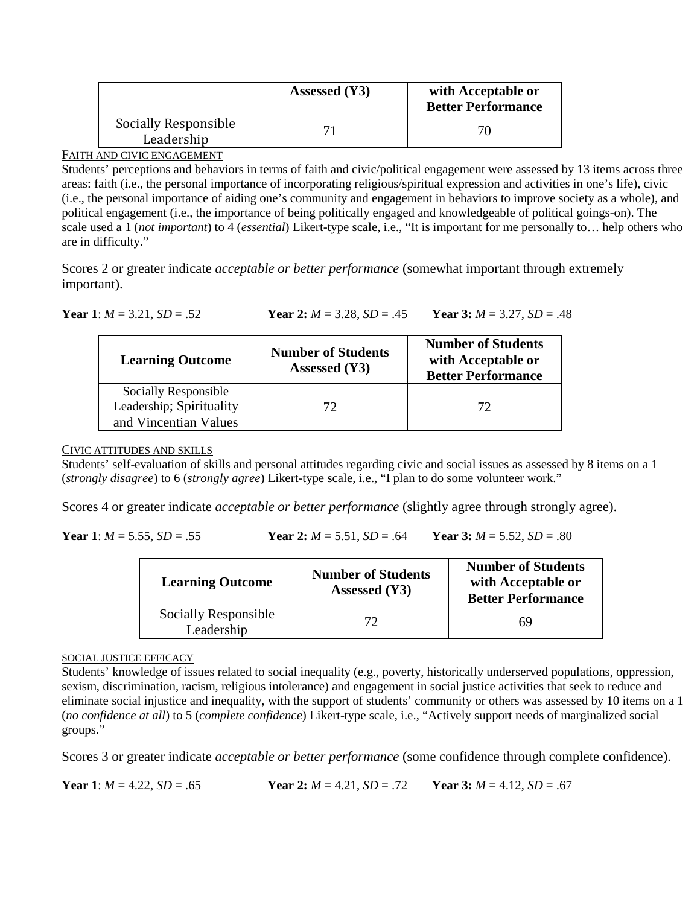|                                    | Assessed (Y3) | with Acceptable or<br><b>Better Performance</b> |
|------------------------------------|---------------|-------------------------------------------------|
| Socially Responsible<br>Leadership |               |                                                 |

#### FAITH AND CIVIC ENGAGEMENT

Students' perceptions and behaviors in terms of faith and civic/political engagement were assessed by 13 items across three areas: faith (i.e., the personal importance of incorporating religious/spiritual expression and activities in one's life), civic (i.e., the personal importance of aiding one's community and engagement in behaviors to improve society as a whole), and political engagement (i.e., the importance of being politically engaged and knowledgeable of political goings-on). The scale used a 1 (*not important*) to 4 (*essential*) Likert-type scale, i.e., "It is important for me personally to… help others who are in difficulty."

Scores 2 or greater indicate *acceptable or better performance* (somewhat important through extremely important).

**Year 1**: *M* = 3.21, *SD* = .52 **Year 2:** *M* = 3.28, *SD* = .45 **Year 3:** *M* = 3.27, *SD* = .48

| <b>Learning Outcome</b>                                                   | <b>Number of Students</b><br>Assessed (Y3) | <b>Number of Students</b><br>with Acceptable or<br><b>Better Performance</b> |
|---------------------------------------------------------------------------|--------------------------------------------|------------------------------------------------------------------------------|
| Socially Responsible<br>Leadership; Spirituality<br>and Vincentian Values | 72.                                        | 72                                                                           |

#### CIVIC ATTITUDES AND SKILLS

Students' self-evaluation of skills and personal attitudes regarding civic and social issues as assessed by 8 items on a 1 (*strongly disagree*) to 6 (*strongly agree*) Likert-type scale, i.e., "I plan to do some volunteer work."

Scores 4 or greater indicate *acceptable or better performance* (slightly agree through strongly agree).

**Year 1**: *M* = 5.55, *SD* = .55 **Year 2:** *M* = 5.51, *SD* = .64 **Year 3:** *M* = 5.52, *SD* = .80

| <b>Learning Outcome</b>            | <b>Number of Students</b><br>Assessed (Y3) | <b>Number of Students</b><br>with Acceptable or<br><b>Better Performance</b> |
|------------------------------------|--------------------------------------------|------------------------------------------------------------------------------|
| Socially Responsible<br>Leadership | 72                                         | 69                                                                           |

#### SOCIAL JUSTICE EFFICACY

Students' knowledge of issues related to social inequality (e.g., poverty, historically underserved populations, oppression, sexism, discrimination, racism, religious intolerance) and engagement in social justice activities that seek to reduce and eliminate social injustice and inequality, with the support of students' community or others was assessed by 10 items on a 1 (*no confidence at all*) to 5 (*complete confidence*) Likert-type scale, i.e., "Actively support needs of marginalized social groups."

Scores 3 or greater indicate *acceptable or better performance* (some confidence through complete confidence).

**Year 1**: *M* = 4.22, *SD* = .65 **Year 2:** *M* = 4.21, *SD* = .72 **Year 3:** *M* = 4.12, *SD* = .67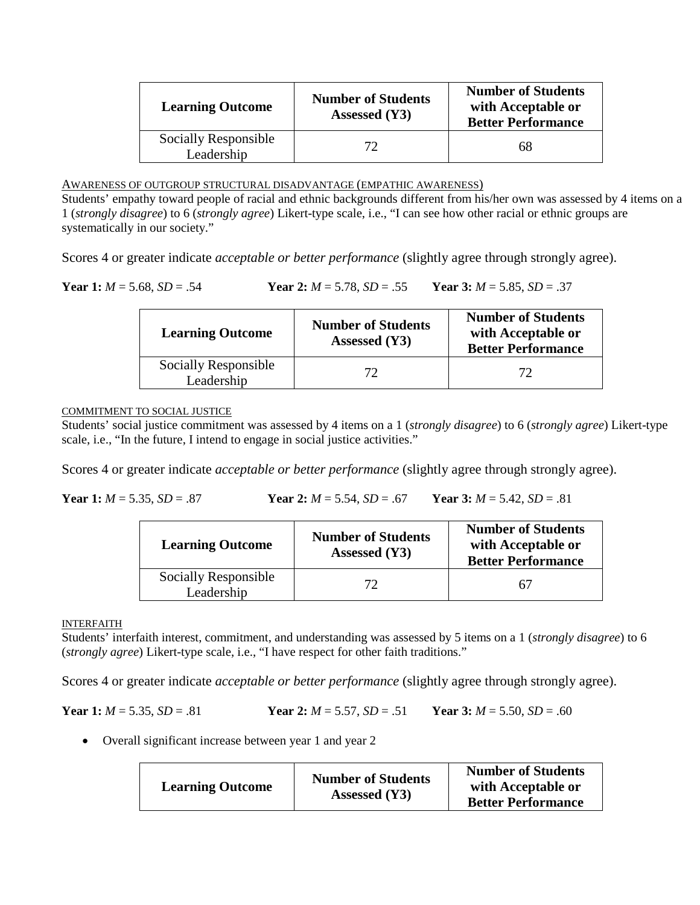| <b>Learning Outcome</b>            | <b>Number of Students</b><br>Assessed (Y3) | <b>Number of Students</b><br>with Acceptable or<br><b>Better Performance</b> |
|------------------------------------|--------------------------------------------|------------------------------------------------------------------------------|
| Socially Responsible<br>Leadership |                                            | 68                                                                           |

AWARENESS OF OUTGROUP STRUCTURAL DISADVANTAGE (EMPATHIC AWARENESS)

Students' empathy toward people of racial and ethnic backgrounds different from his/her own was assessed by 4 items on a 1 (*strongly disagree*) to 6 (*strongly agree*) Likert-type scale, i.e., "I can see how other racial or ethnic groups are systematically in our society."

Scores 4 or greater indicate *acceptable or better performance* (slightly agree through strongly agree).

**Year 1:** *M* = 5.68, *SD* = .54 **Year 2:** *M* = 5.78, *SD* = .55 **Year 3:** *M* = 5.85, *SD* = .37

| <b>Learning Outcome</b>            | <b>Number of Students</b><br>Assessed (Y3) | <b>Number of Students</b><br>with Acceptable or<br><b>Better Performance</b> |
|------------------------------------|--------------------------------------------|------------------------------------------------------------------------------|
| Socially Responsible<br>Leadership | 72.                                        | 72                                                                           |

#### COMMITMENT TO SOCIAL JUSTICE

Students' social justice commitment was assessed by 4 items on a 1 (*strongly disagree*) to 6 (*strongly agree*) Likert-type scale, i.e., "In the future, I intend to engage in social justice activities."

Scores 4 or greater indicate *acceptable or better performance* (slightly agree through strongly agree).

**Year 1:** *M* = 5.35, *SD* = .87 **Year 2:** *M* = 5.54, *SD* = .67 **Year 3:** *M* = 5.42, *SD* = .81

| <b>Learning Outcome</b>            | <b>Number of Students</b><br>Assessed (Y3) | <b>Number of Students</b><br>with Acceptable or<br><b>Better Performance</b> |
|------------------------------------|--------------------------------------------|------------------------------------------------------------------------------|
| Socially Responsible<br>Leadership |                                            | 67                                                                           |

INTERFAITH

Students' interfaith interest, commitment, and understanding was assessed by 5 items on a 1 (*strongly disagree*) to 6 (*strongly agree*) Likert-type scale, i.e., "I have respect for other faith traditions."

Scores 4 or greater indicate *acceptable or better performance* (slightly agree through strongly agree).

Year 1: 
$$
M = 5.35
$$
,  $SD = .81$  Year 2

Year 1: 
$$
M = 5.35
$$
,  $SD = .81$   
Year 2:  $M = 5.57$ ,  $SD = .51$   
Year 3:  $M = 5.50$ ,  $SD = .60$ 

• Overall significant increase between year 1 and year 2

| <b>Learning Outcome</b> | <b>Number of Students</b><br>Assessed (Y3) | <b>Number of Students</b><br>with Acceptable or<br><b>Better Performance</b> |
|-------------------------|--------------------------------------------|------------------------------------------------------------------------------|
|-------------------------|--------------------------------------------|------------------------------------------------------------------------------|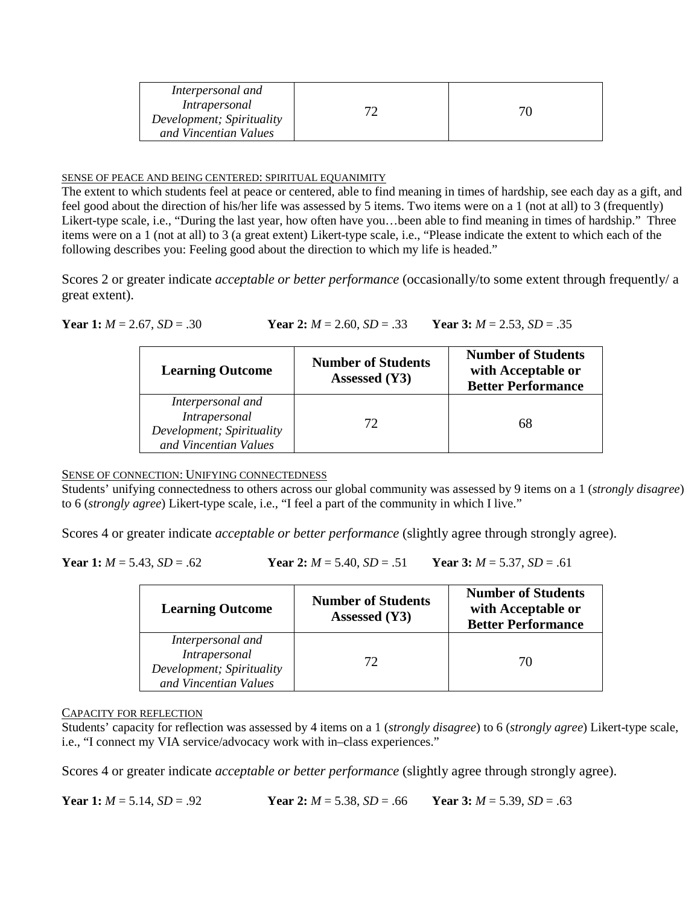| Interpersonal and<br>Intrapersonal<br>Development; Spirituality |  |
|-----------------------------------------------------------------|--|
| and Vincentian Values                                           |  |

#### SENSE OF PEACE AND BEING CENTERED: SPIRITUAL EQUANIMITY

The extent to which students feel at peace or centered, able to find meaning in times of hardship, see each day as a gift, and feel good about the direction of his/her life was assessed by 5 items. Two items were on a 1 (not at all) to 3 (frequently) Likert-type scale, i.e., "During the last year, how often have you…been able to find meaning in times of hardship." Three items were on a 1 (not at all) to 3 (a great extent) Likert-type scale, i.e., "Please indicate the extent to which each of the following describes you: Feeling good about the direction to which my life is headed."

Scores 2 or greater indicate *acceptable or better performance* (occasionally/to some extent through frequently/ a great extent).

**Year 1:**  $M = 2.67$ ,  $SD = .30$  **Year 2:**  $M = 2.60$ ,  $SD = .33$  **Year 3:**  $M = 2.53$ ,  $SD = .35$ 

| <b>Learning Outcome</b>                                                                  | <b>Number of Students</b><br>Assessed (Y3) | <b>Number of Students</b><br>with Acceptable or<br><b>Better Performance</b> |
|------------------------------------------------------------------------------------------|--------------------------------------------|------------------------------------------------------------------------------|
| Interpersonal and<br>Intrapersonal<br>Development; Spirituality<br>and Vincentian Values | 72.                                        | 68                                                                           |

SENSE OF CONNECTION: UNIFYING CONNECTEDNESS

Students' unifying connectedness to others across our global community was assessed by 9 items on a 1 (*strongly disagree*) to 6 (*strongly agree*) Likert-type scale, i.e., "I feel a part of the community in which I live."

Scores 4 or greater indicate *acceptable or better performance* (slightly agree through strongly agree).

**Year 1:**  $M = 5.43$ ,  $SD = .62$  **Year 2:**  $M = 5.40$ ,  $SD = .51$  **Year 3:**  $M = 5.37$ ,  $SD = .61$ 

| <b>Learning Outcome</b>                                                                  | <b>Number of Students</b><br>Assessed (Y3) | <b>Number of Students</b><br>with Acceptable or<br><b>Better Performance</b> |  |  |
|------------------------------------------------------------------------------------------|--------------------------------------------|------------------------------------------------------------------------------|--|--|
| Interpersonal and<br>Intrapersonal<br>Development; Spirituality<br>and Vincentian Values | 72.                                        | 70                                                                           |  |  |

#### CAPACITY FOR REFLECTION

Students' capacity for reflection was assessed by 4 items on a 1 (*strongly disagree*) to 6 (*strongly agree*) Likert-type scale, i.e., "I connect my VIA service/advocacy work with in–class experiences."

Scores 4 or greater indicate *acceptable or better performance* (slightly agree through strongly agree).

**Year 1:**  $M = 5.14$ ,  $SD = .92$  **Year 2:**  $M = 5.38$ ,  $SD = .66$  **Year 3:**  $M = 5.39$ ,  $SD = .63$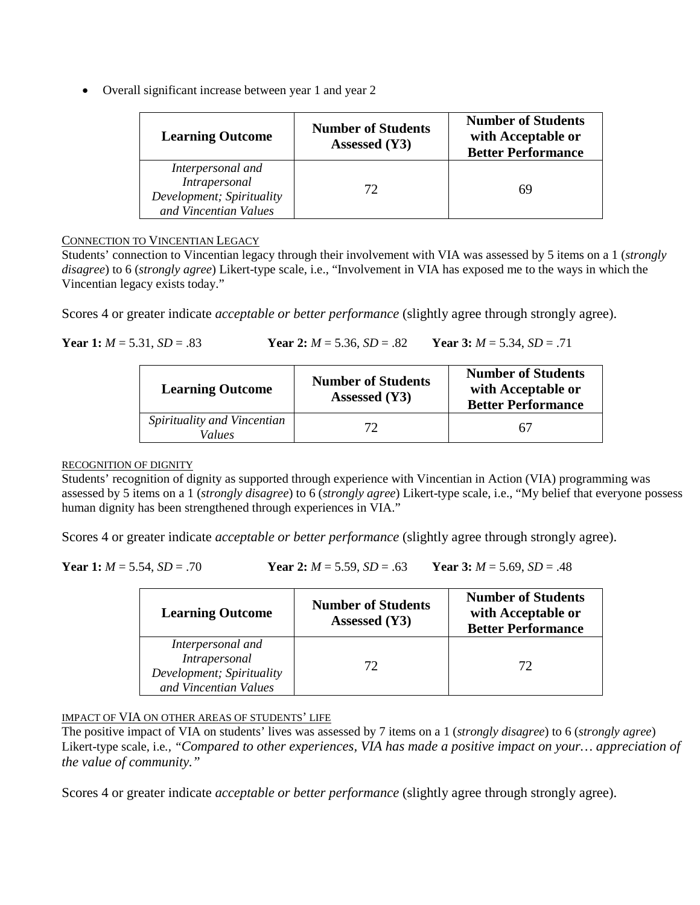• Overall significant increase between year 1 and year 2

| <b>Learning Outcome</b>                                                                  | <b>Number of Students</b><br>Assessed (Y3) | <b>Number of Students</b><br>with Acceptable or<br><b>Better Performance</b> |
|------------------------------------------------------------------------------------------|--------------------------------------------|------------------------------------------------------------------------------|
| Interpersonal and<br>Intrapersonal<br>Development; Spirituality<br>and Vincentian Values | 72.                                        | 69                                                                           |

#### CONNECTION TO VINCENTIAN LEGACY

Students' connection to Vincentian legacy through their involvement with VIA was assessed by 5 items on a 1 (*strongly disagree*) to 6 (*strongly agree*) Likert-type scale, i.e., "Involvement in VIA has exposed me to the ways in which the Vincentian legacy exists today."

Scores 4 or greater indicate *acceptable or better performance* (slightly agree through strongly agree).

**Year 1:** *M* = 5.31, *SD* = .83 **Year 2:** *M* = 5.36, *SD* = .82 **Year 3:** *M* = 5.34, *SD* = .71

| <b>Learning Outcome</b>                      | <b>Number of Students</b><br>Assessed (Y3) | <b>Number of Students</b><br>with Acceptable or<br><b>Better Performance</b> |  |  |
|----------------------------------------------|--------------------------------------------|------------------------------------------------------------------------------|--|--|
| Spirituality and Vincentian<br><i>Values</i> |                                            | 67                                                                           |  |  |

#### RECOGNITION OF DIGNITY

Students' recognition of dignity as supported through experience with Vincentian in Action (VIA) programming was assessed by 5 items on a 1 (*strongly disagree*) to 6 (*strongly agree*) Likert-type scale, i.e., "My belief that everyone possess human dignity has been strengthened through experiences in VIA."

Scores 4 or greater indicate *acceptable or better performance* (slightly agree through strongly agree).

**Year 1:**  $M = 5.54$ ,  $SD = .70$  **Year 2:**  $M = 5.59$ ,  $SD = .63$  **Year 3:**  $M = 5.69$ ,  $SD = .48$ 

| <b>Learning Outcome</b>                                                                         | <b>Number of Students</b><br>Assessed (Y3) | <b>Number of Students</b><br>with Acceptable or<br><b>Better Performance</b> |  |  |  |
|-------------------------------------------------------------------------------------------------|--------------------------------------------|------------------------------------------------------------------------------|--|--|--|
| Interpersonal and<br><b>Intrapersonal</b><br>Development; Spirituality<br>and Vincentian Values | 72.                                        | 72                                                                           |  |  |  |

### IMPACT OF VIA ON OTHER AREAS OF STUDENTS' LIFE

The positive impact of VIA on students' lives was assessed by 7 items on a 1 (*strongly disagree*) to 6 (*strongly agree*) Likert-type scale, i.e*., "Compared to other experiences, VIA has made a positive impact on your… appreciation of the value of community."*

Scores 4 or greater indicate *acceptable or better performance* (slightly agree through strongly agree).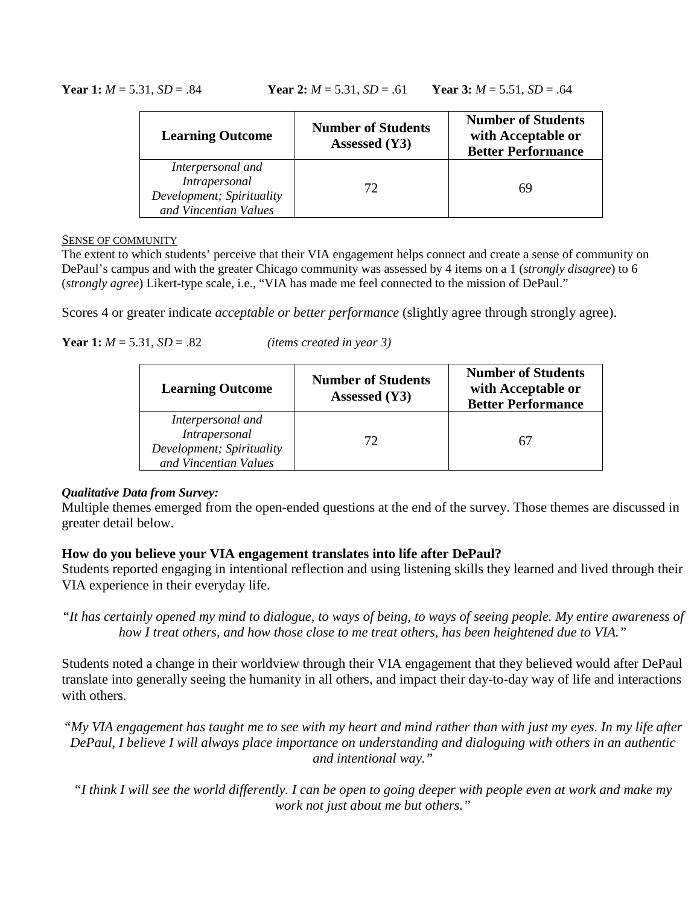**Year 1:**  $M = 5.31$ ,  $SD = .84$  **Year 2:**  $M = 5.31$ ,  $SD = .61$  **Year 3:**  $M = 5.51$ ,  $SD = .64$ 

| <b>Learning Outcome</b>                                                                         | <b>Number of Students</b><br>Assessed (Y3) | <b>Number of Students</b><br>with Acceptable or<br><b>Better Performance</b> |  |  |  |
|-------------------------------------------------------------------------------------------------|--------------------------------------------|------------------------------------------------------------------------------|--|--|--|
| Interpersonal and<br><b>Intrapersonal</b><br>Development; Spirituality<br>and Vincentian Values | 72                                         | 69                                                                           |  |  |  |

#### SENSE OF COMMUNITY

The extent to which students' perceive that their VIA engagement helps connect and create a sense of community on DePaul's campus and with the greater Chicago community was assessed by 4 items on a 1 (*strongly disagree*) to 6 (*strongly agree*) Likert-type scale, i.e., "VIA has made me feel connected to the mission of DePaul."

Scores 4 or greater indicate *acceptable or better performance* (slightly agree through strongly agree).

**Year 1:**  $M = 5.31$ ,  $SD = .82$  *(items created in year 3)* 

| <b>Learning Outcome</b>                                                                         | <b>Number of Students</b><br>Assessed (Y3) | <b>Number of Students</b><br>with Acceptable or<br><b>Better Performance</b> |
|-------------------------------------------------------------------------------------------------|--------------------------------------------|------------------------------------------------------------------------------|
| Interpersonal and<br><b>Intrapersonal</b><br>Development; Spirituality<br>and Vincentian Values | 72                                         | 67                                                                           |

#### *Qualitative Data from Survey:*

Multiple themes emerged from the open-ended questions at the end of the survey. Those themes are discussed in greater detail below.

#### **How do you believe your VIA engagement translates into life after DePaul?**

Students reported engaging in intentional reflection and using listening skills they learned and lived through their VIA experience in their everyday life.

*"It has certainly opened my mind to dialogue, to ways of being, to ways of seeing people. My entire awareness of how I treat others, and how those close to me treat others, has been heightened due to VIA."*

Students noted a change in their worldview through their VIA engagement that they believed would after DePaul translate into generally seeing the humanity in all others, and impact their day-to-day way of life and interactions with others.

*"My VIA engagement has taught me to see with my heart and mind rather than with just my eyes. In my life after DePaul, I believe I will always place importance on understanding and dialoguing with others in an authentic and intentional way."*

*"I think I will see the world differently. I can be open to going deeper with people even at work and make my work not just about me but others."*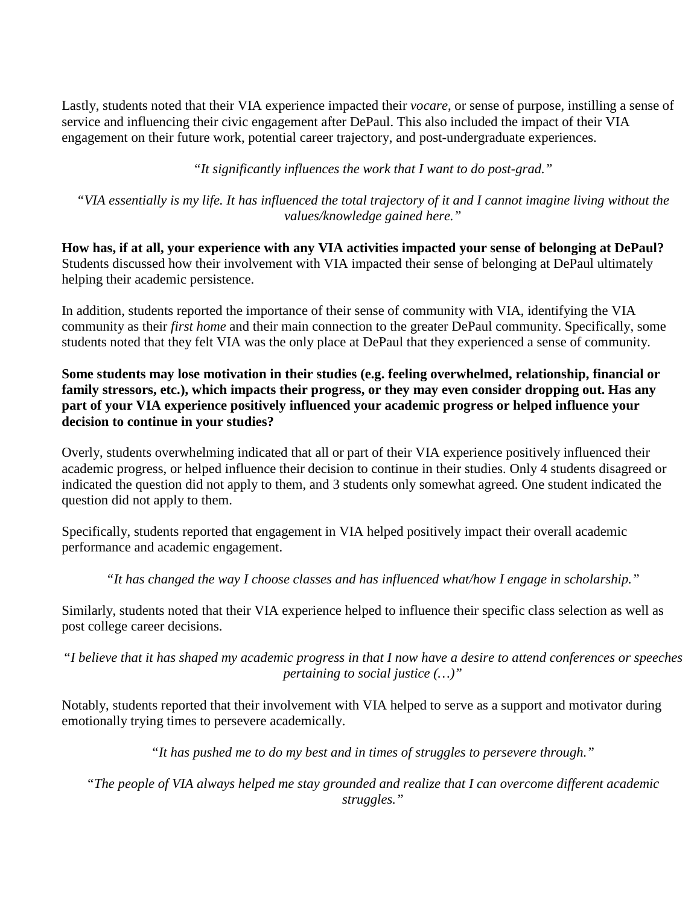Lastly, students noted that their VIA experience impacted their *vocare*, or sense of purpose, instilling a sense of service and influencing their civic engagement after DePaul. This also included the impact of their VIA engagement on their future work, potential career trajectory, and post-undergraduate experiences.

*"It significantly influences the work that I want to do post-grad."*

*"VIA essentially is my life. It has influenced the total trajectory of it and I cannot imagine living without the values/knowledge gained here."*

**How has, if at all, your experience with any VIA activities impacted your sense of belonging at DePaul?** Students discussed how their involvement with VIA impacted their sense of belonging at DePaul ultimately helping their academic persistence.

In addition, students reported the importance of their sense of community with VIA, identifying the VIA community as their *first home* and their main connection to the greater DePaul community. Specifically, some students noted that they felt VIA was the only place at DePaul that they experienced a sense of community.

**Some students may lose motivation in their studies (e.g. feeling overwhelmed, relationship, financial or family stressors, etc.), which impacts their progress, or they may even consider dropping out. Has any part of your VIA experience positively influenced your academic progress or helped influence your decision to continue in your studies?**

Overly, students overwhelming indicated that all or part of their VIA experience positively influenced their academic progress, or helped influence their decision to continue in their studies. Only 4 students disagreed or indicated the question did not apply to them, and 3 students only somewhat agreed. One student indicated the question did not apply to them.

Specifically, students reported that engagement in VIA helped positively impact their overall academic performance and academic engagement.

*"It has changed the way I choose classes and has influenced what/how I engage in scholarship."*

Similarly, students noted that their VIA experience helped to influence their specific class selection as well as post college career decisions.

*"I believe that it has shaped my academic progress in that I now have a desire to attend conferences or speeches pertaining to social justice (…)"*

Notably, students reported that their involvement with VIA helped to serve as a support and motivator during emotionally trying times to persevere academically.

*"It has pushed me to do my best and in times of struggles to persevere through."*

*"The people of VIA always helped me stay grounded and realize that I can overcome different academic struggles."*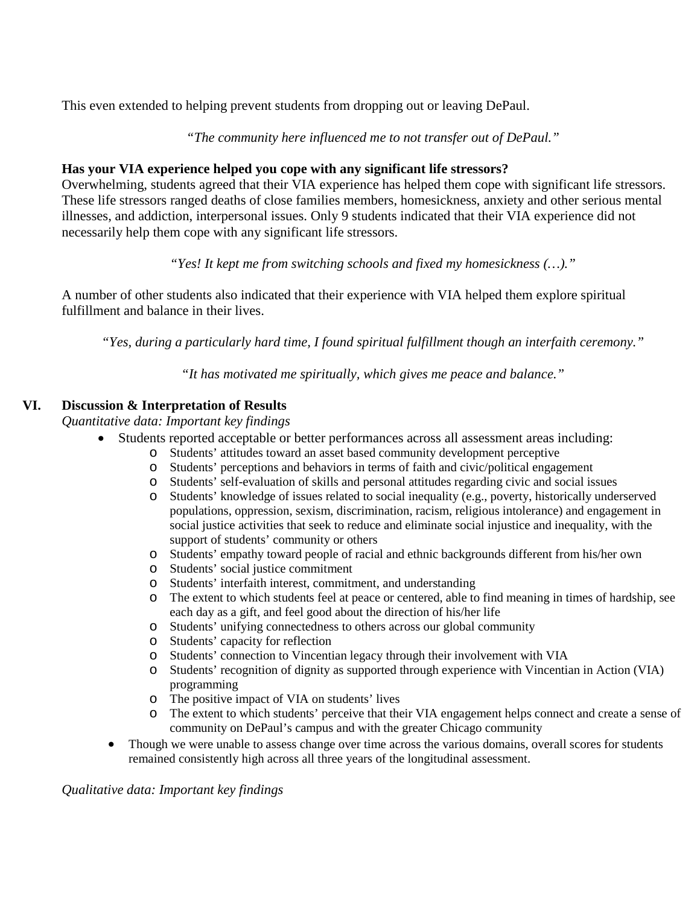This even extended to helping prevent students from dropping out or leaving DePaul.

*"The community here influenced me to not transfer out of DePaul."*

# **Has your VIA experience helped you cope with any significant life stressors?**

Overwhelming, students agreed that their VIA experience has helped them cope with significant life stressors. These life stressors ranged deaths of close families members, homesickness, anxiety and other serious mental illnesses, and addiction, interpersonal issues. Only 9 students indicated that their VIA experience did not necessarily help them cope with any significant life stressors.

*"Yes! It kept me from switching schools and fixed my homesickness (…)."*

A number of other students also indicated that their experience with VIA helped them explore spiritual fulfillment and balance in their lives.

*"Yes, during a particularly hard time, I found spiritual fulfillment though an interfaith ceremony."*

*"It has motivated me spiritually, which gives me peace and balance."*

# **VI. Discussion & Interpretation of Results**

*Quantitative data: Important key findings* 

- Students reported acceptable or better performances across all assessment areas including:
	- o Students' attitudes toward an asset based community development perceptive
	- o Students' perceptions and behaviors in terms of faith and civic/political engagement
	- o Students' self-evaluation of skills and personal attitudes regarding civic and social issues
	- o Students' knowledge of issues related to social inequality (e.g., poverty, historically underserved populations, oppression, sexism, discrimination, racism, religious intolerance) and engagement in social justice activities that seek to reduce and eliminate social injustice and inequality, with the support of students' community or others
	- o Students' empathy toward people of racial and ethnic backgrounds different from his/her own
	- o Students' social justice commitment
	- o Students' interfaith interest, commitment, and understanding
	- The extent to which students feel at peace or centered, able to find meaning in times of hardship, see each day as a gift, and feel good about the direction of his/her life
	- o Students' unifying connectedness to others across our global community
	- o Students' capacity for reflection
	- o Students' connection to Vincentian legacy through their involvement with VIA
	- Students' recognition of dignity as supported through experience with Vincentian in Action (VIA) programming
	- o The positive impact of VIA on students' lives
	- o The extent to which students' perceive that their VIA engagement helps connect and create a sense of community on DePaul's campus and with the greater Chicago community
- Though we were unable to assess change over time across the various domains, overall scores for students remained consistently high across all three years of the longitudinal assessment.

*Qualitative data: Important key findings*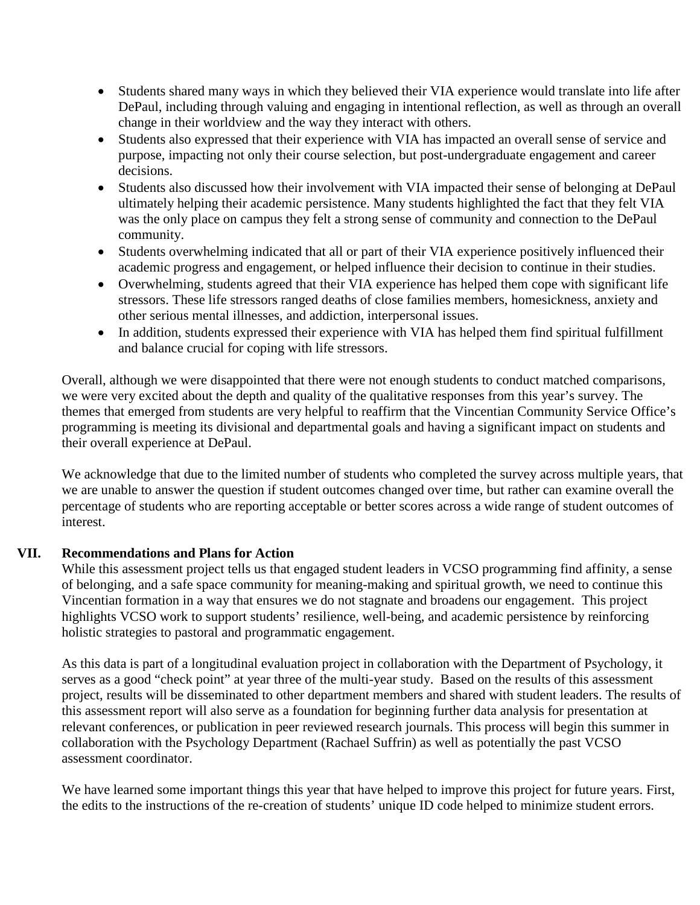- Students shared many ways in which they believed their VIA experience would translate into life after DePaul, including through valuing and engaging in intentional reflection, as well as through an overall change in their worldview and the way they interact with others.
- Students also expressed that their experience with VIA has impacted an overall sense of service and purpose, impacting not only their course selection, but post-undergraduate engagement and career decisions.
- Students also discussed how their involvement with VIA impacted their sense of belonging at DePaul ultimately helping their academic persistence. Many students highlighted the fact that they felt VIA was the only place on campus they felt a strong sense of community and connection to the DePaul community.
- Students overwhelming indicated that all or part of their VIA experience positively influenced their academic progress and engagement, or helped influence their decision to continue in their studies.
- Overwhelming, students agreed that their VIA experience has helped them cope with significant life stressors. These life stressors ranged deaths of close families members, homesickness, anxiety and other serious mental illnesses, and addiction, interpersonal issues.
- In addition, students expressed their experience with VIA has helped them find spiritual fulfillment and balance crucial for coping with life stressors.

Overall, although we were disappointed that there were not enough students to conduct matched comparisons, we were very excited about the depth and quality of the qualitative responses from this year's survey. The themes that emerged from students are very helpful to reaffirm that the Vincentian Community Service Office's programming is meeting its divisional and departmental goals and having a significant impact on students and their overall experience at DePaul.

We acknowledge that due to the limited number of students who completed the survey across multiple years, that we are unable to answer the question if student outcomes changed over time, but rather can examine overall the percentage of students who are reporting acceptable or better scores across a wide range of student outcomes of interest.

# **VII. Recommendations and Plans for Action**

While this assessment project tells us that engaged student leaders in VCSO programming find affinity, a sense of belonging, and a safe space community for meaning-making and spiritual growth, we need to continue this Vincentian formation in a way that ensures we do not stagnate and broadens our engagement. This project highlights VCSO work to support students' resilience, well-being, and academic persistence by reinforcing holistic strategies to pastoral and programmatic engagement.

As this data is part of a longitudinal evaluation project in collaboration with the Department of Psychology, it serves as a good "check point" at year three of the multi-year study. Based on the results of this assessment project, results will be disseminated to other department members and shared with student leaders. The results of this assessment report will also serve as a foundation for beginning further data analysis for presentation at relevant conferences, or publication in peer reviewed research journals. This process will begin this summer in collaboration with the Psychology Department (Rachael Suffrin) as well as potentially the past VCSO assessment coordinator.

We have learned some important things this year that have helped to improve this project for future years. First, the edits to the instructions of the re-creation of students' unique ID code helped to minimize student errors.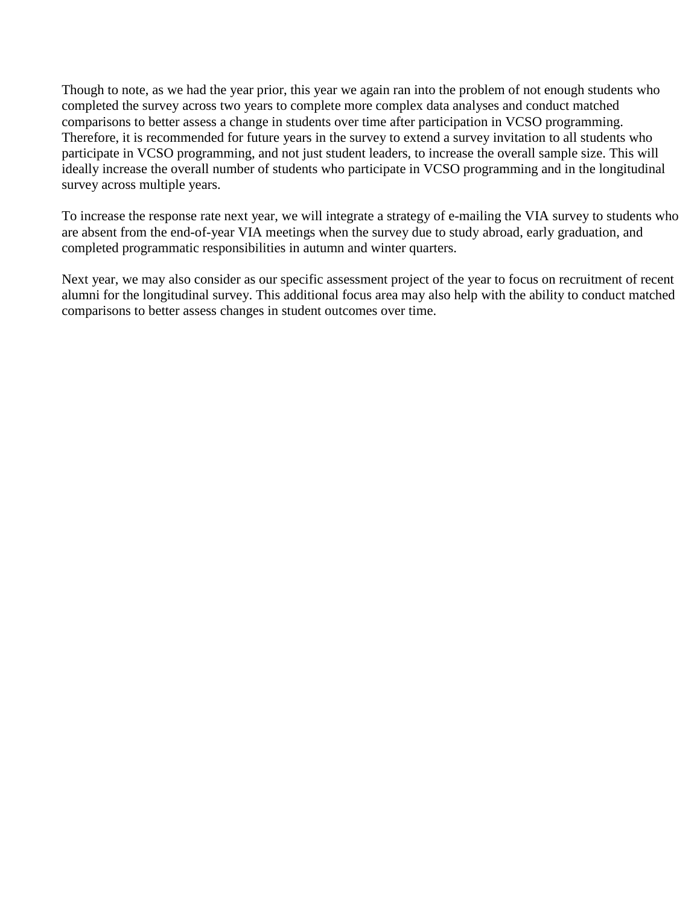Though to note, as we had the year prior, this year we again ran into the problem of not enough students who completed the survey across two years to complete more complex data analyses and conduct matched comparisons to better assess a change in students over time after participation in VCSO programming. Therefore, it is recommended for future years in the survey to extend a survey invitation to all students who participate in VCSO programming, and not just student leaders, to increase the overall sample size. This will ideally increase the overall number of students who participate in VCSO programming and in the longitudinal survey across multiple years.

To increase the response rate next year, we will integrate a strategy of e-mailing the VIA survey to students who are absent from the end-of-year VIA meetings when the survey due to study abroad, early graduation, and completed programmatic responsibilities in autumn and winter quarters.

Next year, we may also consider as our specific assessment project of the year to focus on recruitment of recent alumni for the longitudinal survey. This additional focus area may also help with the ability to conduct matched comparisons to better assess changes in student outcomes over time.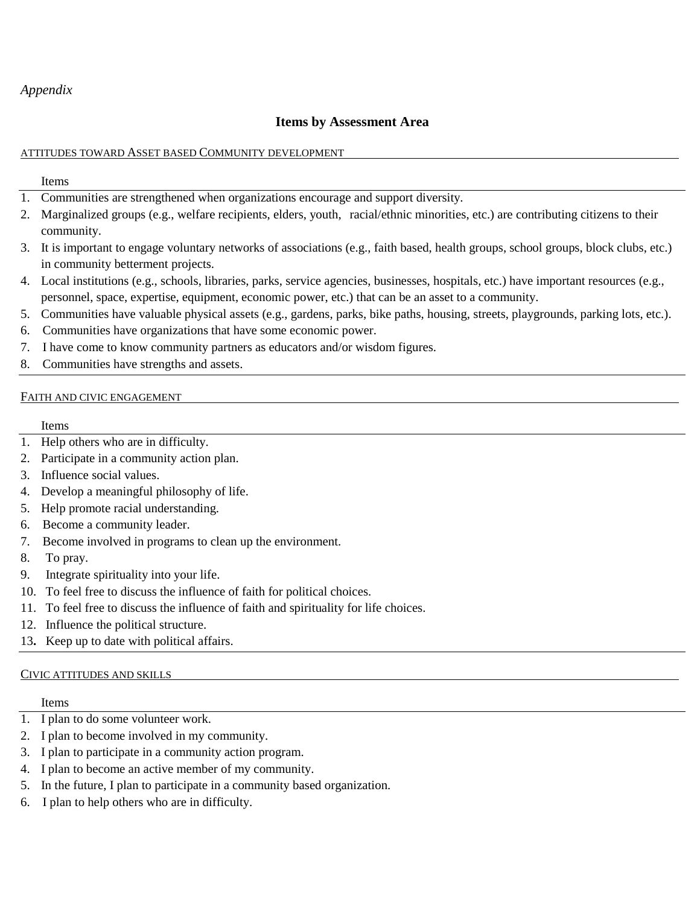*Appendix*

### **Items by Assessment Area**

#### ATTITUDES TOWARD ASSET BASED COMMUNITY DEVELOPMENT

#### Items

- 1. Communities are strengthened when organizations encourage and support diversity.
- 2. Marginalized groups (e.g., welfare recipients, elders, youth, racial/ethnic minorities, etc.) are contributing citizens to their community.
- 3. It is important to engage voluntary networks of associations (e.g., faith based, health groups, school groups, block clubs, etc.) in community betterment projects.
- 4. Local institutions (e.g., schools, libraries, parks, service agencies, businesses, hospitals, etc.) have important resources (e.g., personnel, space, expertise, equipment, economic power, etc.) that can be an asset to a community.
- 5. Communities have valuable physical assets (e.g., gardens, parks, bike paths, housing, streets, playgrounds, parking lots, etc.).
- 6. Communities have organizations that have some economic power.
- 7. I have come to know community partners as educators and/or wisdom figures.
- 8. Communities have strengths and assets.

#### FAITH AND CIVIC ENGAGEMENT

#### Items

- 1. Help others who are in difficulty.
- 2. Participate in a community action plan.
- 3. Influence social values.
- 4. Develop a meaningful philosophy of life.
- 5. Help promote racial understanding.
- 6. Become a community leader.
- 7. Become involved in programs to clean up the environment.
- 8. To pray.
- 9. Integrate spirituality into your life.
- 10. To feel free to discuss the influence of faith for political choices.
- 11. To feel free to discuss the influence of faith and spirituality for life choices.
- 12. Influence the political structure.
- 13**.** Keep up to date with political affairs.

#### CIVIC ATTITUDES AND SKILLS

#### Items

- 1. I plan to do some volunteer work.
- 2. I plan to become involved in my community.
- 3. I plan to participate in a community action program.
- 4. I plan to become an active member of my community.
- 5. In the future, I plan to participate in a community based organization.
- 6. I plan to help others who are in difficulty.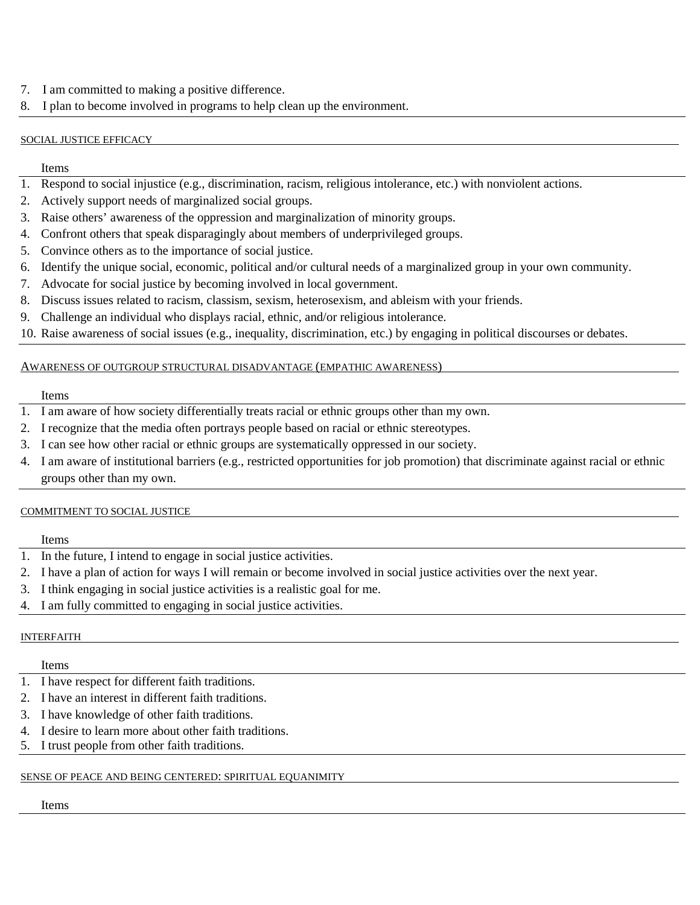- 7. I am committed to making a positive difference.
- 8. I plan to become involved in programs to help clean up the environment.

#### SOCIAL JUSTICE EFFICACY

#### Items

- 1. Respond to social injustice (e.g., discrimination, racism, religious intolerance, etc.) with nonviolent actions.
- 2. Actively support needs of marginalized social groups.
- 3. Raise others' awareness of the oppression and marginalization of minority groups.
- 4. Confront others that speak disparagingly about members of underprivileged groups.
- 5. Convince others as to the importance of social justice.
- 6. Identify the unique social, economic, political and/or cultural needs of a marginalized group in your own community.
- 7. Advocate for social justice by becoming involved in local government.
- 8. Discuss issues related to racism, classism, sexism, heterosexism, and ableism with your friends.
- 9. Challenge an individual who displays racial, ethnic, and/or religious intolerance.

10. Raise awareness of social issues (e.g., inequality, discrimination, etc.) by engaging in political discourses or debates.

#### AWARENESS OF OUTGROUP STRUCTURAL DISADVANTAGE (EMPATHIC AWARENESS)

#### Items

- 1. I am aware of how society differentially treats racial or ethnic groups other than my own.
- 2. I recognize that the media often portrays people based on racial or ethnic stereotypes.
- 3. I can see how other racial or ethnic groups are systematically oppressed in our society.
- 4. I am aware of institutional barriers (e.g., restricted opportunities for job promotion) that discriminate against racial or ethnic groups other than my own.

#### COMMITMENT TO SOCIAL JUSTICE

#### Items

- 1. In the future, I intend to engage in social justice activities.
- 2. I have a plan of action for ways I will remain or become involved in social justice activities over the next year.
- 3. I think engaging in social justice activities is a realistic goal for me.
- 4. I am fully committed to engaging in social justice activities.

#### INTERFAITH

#### Items

- 1. I have respect for different faith traditions.
- 2. I have an interest in different faith traditions.
- 3. I have knowledge of other faith traditions.
- 4. I desire to learn more about other faith traditions.
- 5. I trust people from other faith traditions.

#### SENSE OF PEACE AND BEING CENTERED: SPIRITUAL EQUANIMITY

#### Items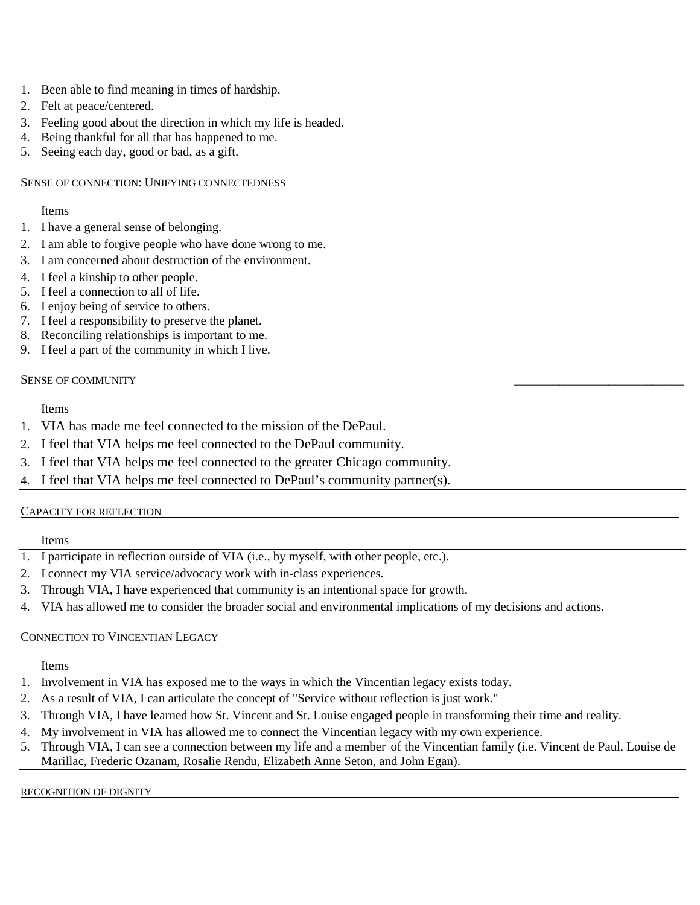- 1. Been able to find meaning in times of hardship.
- 2. Felt at peace/centered.
- 3. Feeling good about the direction in which my life is headed.
- 4. Being thankful for all that has happened to me.
- 5. Seeing each day, good or bad, as a gift.

#### SENSE OF CONNECTION: UNIFYING CONNECTEDNESS

#### Items

- 1. I have a general sense of belonging.
- 2. I am able to forgive people who have done wrong to me.
- 3. I am concerned about destruction of the environment.
- 4. I feel a kinship to other people.
- 5. I feel a connection to all of life.
- 6. I enjoy being of service to others.
- 7. I feel a responsibility to preserve the planet.
- 8. Reconciling relationships is important to me.
- 9. I feel a part of the community in which I live.

#### SENSE OF COMMUNITY

Items

- 1. VIA has made me feel connected to the mission of the DePaul.
- 2. I feel that VIA helps me feel connected to the DePaul community.
- 3. I feel that VIA helps me feel connected to the greater Chicago community.
- 4. I feel that VIA helps me feel connected to DePaul's community partner(s).

#### CAPACITY FOR REFLECTION

#### Items

- 1. I participate in reflection outside of VIA (i.e., by myself, with other people, etc.).
- 2. I connect my VIA service/advocacy work with in-class experiences.
- 3. Through VIA, I have experienced that community is an intentional space for growth.
- 4. VIA has allowed me to consider the broader social and environmental implications of my decisions and actions.

#### CONNECTION TO VINCENTIAN LEGACY

#### Items

- 1. Involvement in VIA has exposed me to the ways in which the Vincentian legacy exists today.
- 2. As a result of VIA, I can articulate the concept of "Service without reflection is just work."
- 3. Through VIA, I have learned how St. Vincent and St. Louise engaged people in transforming their time and reality.
- 4. My involvement in VIA has allowed me to connect the Vincentian legacy with my own experience.
- 5. Through VIA, I can see a connection between my life and a member of the Vincentian family (i.e. Vincent de Paul, Louise de Marillac, Frederic Ozanam, Rosalie Rendu, Elizabeth Anne Seton, and John Egan).

#### RECOGNITION OF DIGNITY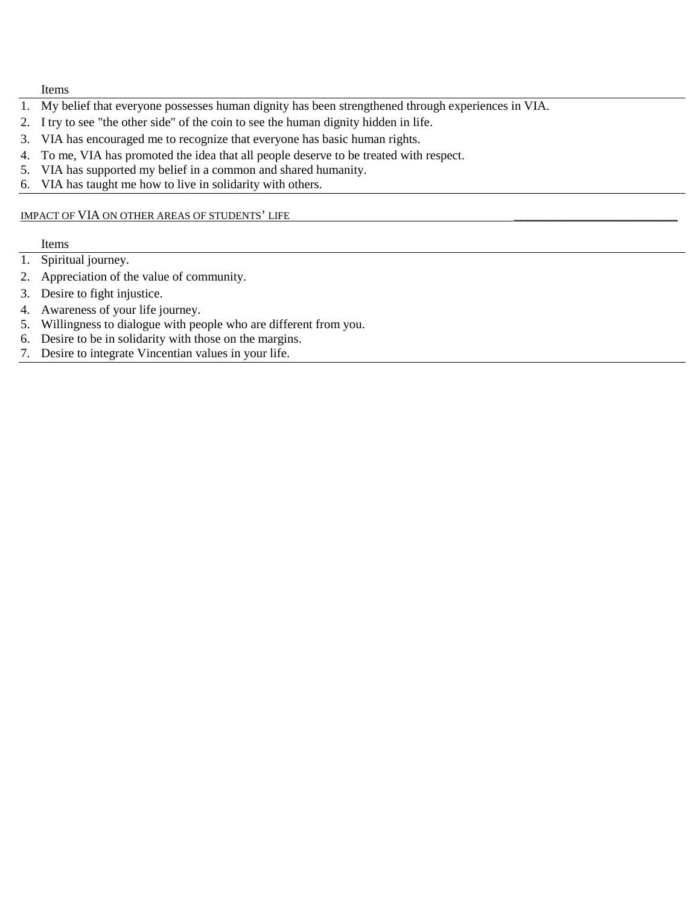Items

- 1. My belief that everyone possesses human dignity has been strengthened through experiences in VIA.
- 2. I try to see "the other side" of the coin to see the human dignity hidden in life.
- 3. VIA has encouraged me to recognize that everyone has basic human rights.
- 4. To me, VIA has promoted the idea that all people deserve to be treated with respect.
- 5. VIA has supported my belief in a common and shared humanity.
- 6. VIA has taught me how to live in solidarity with others.

#### IMPACT OF VIA ON OTHER AREAS OF STUDENTS' LIFE

Items

- 1. Spiritual journey.
- 2. Appreciation of the value of community.
- 3. Desire to fight injustice.
- 4. Awareness of your life journey.
- 5. Willingness to dialogue with people who are different from you.
- 6. Desire to be in solidarity with those on the margins.
- 7. Desire to integrate Vincentian values in your life.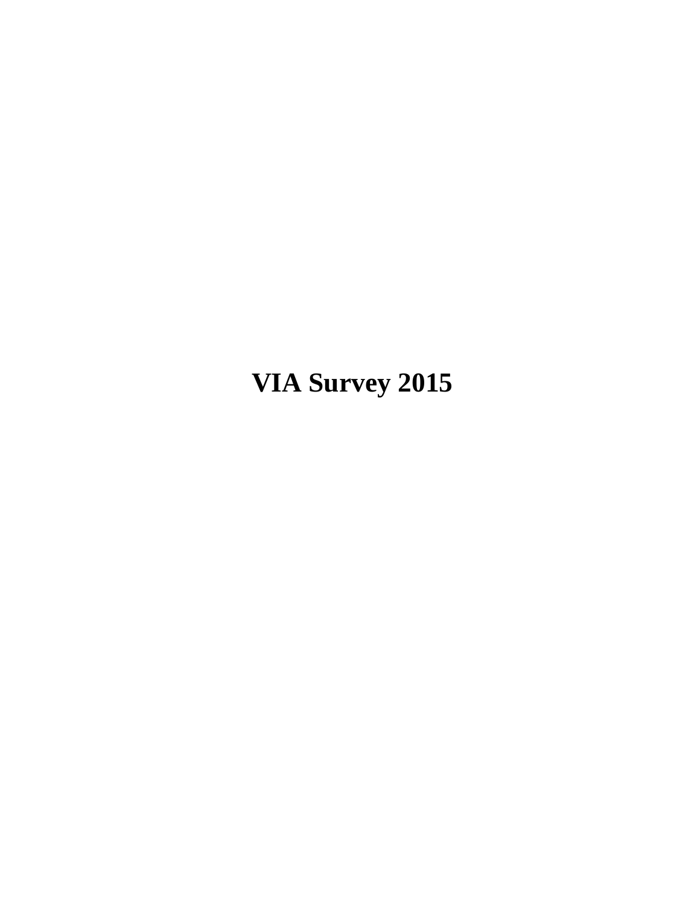# **VIA Survey 2015**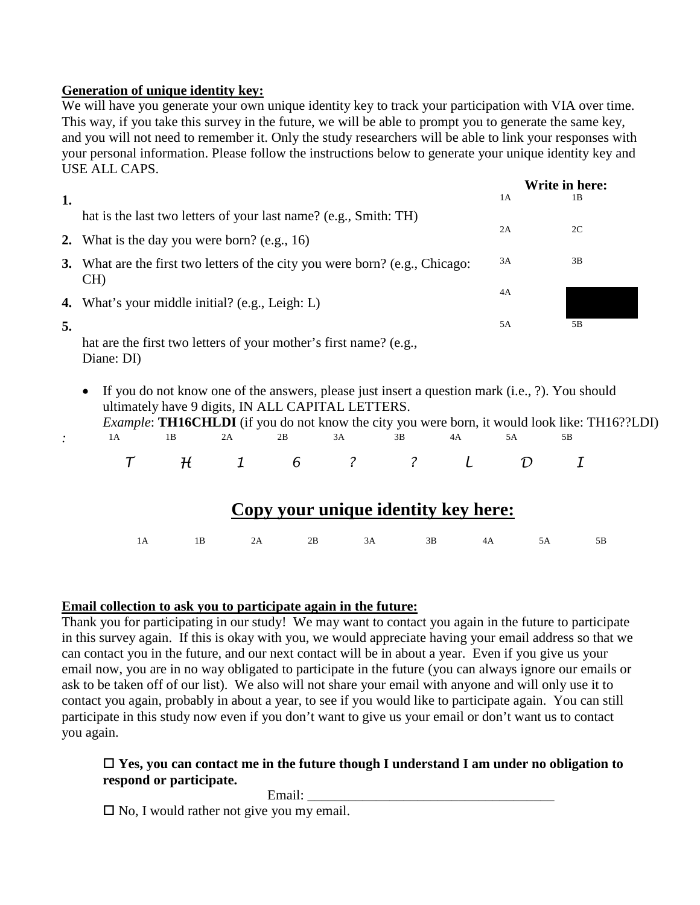# **Generation of unique identity key:**

We will have you generate your own unique identity key to track your participation with VIA over time. This way, if you take this survey in the future, we will be able to prompt you to generate the same key, and you will not need to remember it. Only the study researchers will be able to link your responses with your personal information. Please follow the instructions below to generate your unique identity key and USE ALL CAPS.

|    |                                                                                  |     | Write in here: |  |
|----|----------------------------------------------------------------------------------|-----|----------------|--|
| 1. |                                                                                  | 1 A | 1B             |  |
|    | hat is the last two letters of your last name? (e.g., Smith: TH)                 |     |                |  |
|    | 2. What is the day you were born? (e.g., 16)                                     | 2A  | 2C             |  |
| 3. | What are the first two letters of the city you were born? (e.g., Chicago:<br>CH) | 3A  | 3B             |  |
|    | <b>4.</b> What's your middle initial? (e.g., Leigh: L)                           | 4A  |                |  |
| 5. |                                                                                  | 5A  | 5B             |  |
|    | kat ang tha Cust two Jattang of warrengedhan's Cust nama $9/8$                   |     |                |  |

hat are the first two letters of your mother's first name? (e.g., Diane: DI)

• If you do not know one of the answers, please just insert a question mark (i.e., ?). You should ultimately have 9 digits, IN ALL CAPITAL LETTERS. *Example*: **TH16CHLDI** (if you do not know the city you were born, it would look like: TH16??LDI)

| 1A | 1B | 2A | and open the contract of the contract of the second state of the contract of the contract of the contract of t<br>2B | 3A | 3B | 4A | 5Β |  |
|----|----|----|----------------------------------------------------------------------------------------------------------------------|----|----|----|----|--|
|    |    |    | H 1 6 ? ? L                                                                                                          |    |    |    |    |  |
|    |    |    | Copy your unique identity key here:                                                                                  |    |    |    |    |  |

1A 1B 2A 2B 3A 3B 4A 5A 5B

#### **Email collection to ask you to participate again in the future:**

Thank you for participating in our study! We may want to contact you again in the future to participate in this survey again. If this is okay with you, we would appreciate having your email address so that we can contact you in the future, and our next contact will be in about a year. Even if you give us your email now, you are in no way obligated to participate in the future (you can always ignore our emails or ask to be taken off of our list). We also will not share your email with anyone and will only use it to contact you again, probably in about a year, to see if you would like to participate again. You can still participate in this study now even if you don't want to give us your email or don't want us to contact you again.

# **Yes, you can contact me in the future though I understand I am under no obligation to respond or participate.**

Email:

 $\square$  No, I would rather not give you my email.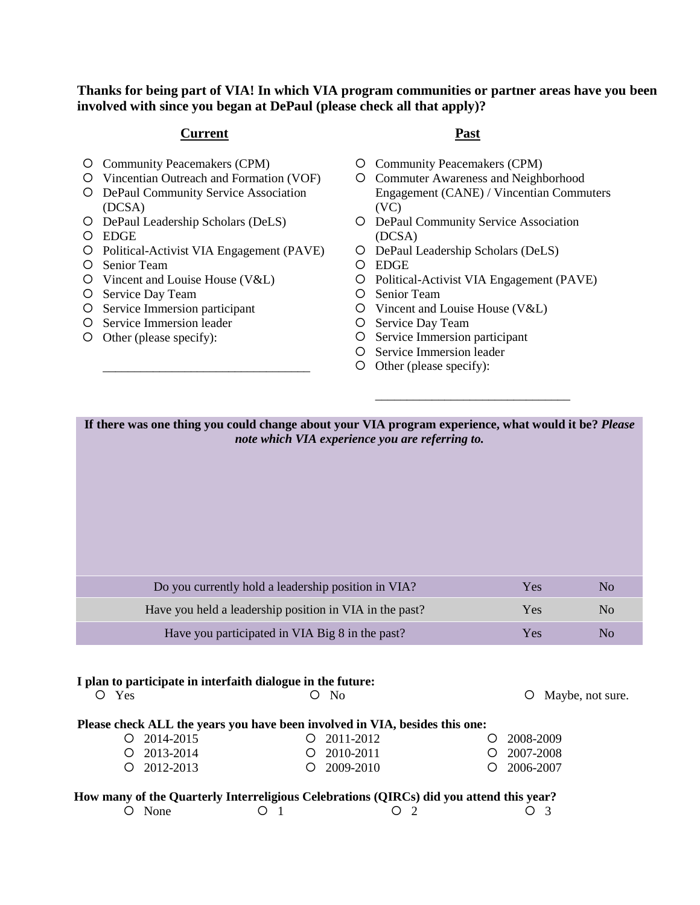**Thanks for being part of VIA! In which VIA program communities or partner areas have you been involved with since you began at DePaul (please check all that apply)?**

#### **Current Past**

- Community Peacemakers (CPM)
- Vincentian Outreach and Formation (VOF)
- DePaul Community Service Association (DCSA)
- DePaul Leadership Scholars (DeLS)
- EDGE
- Political-Activist VIA Engagement (PAVE)

\_\_\_\_\_\_\_\_\_\_\_\_\_\_\_\_\_\_\_\_\_\_\_\_\_\_\_\_\_\_\_\_\_

- O Senior Team
- $\circ$  Vincent and Louise House (V&L)
- O Service Day Team
- O Service Immersion participant
- O Service Immersion leader
- Other (please specify):

- Community Peacemakers (CPM)
- Commuter Awareness and Neighborhood Engagement (CANE) / Vincentian Commuters (VC)
- DePaul Community Service Association (DCSA)
- DePaul Leadership Scholars (DeLS)
- EDGE
- Political-Activist VIA Engagement (PAVE)

\_\_\_\_\_\_\_\_\_\_\_\_\_\_\_\_\_\_\_\_\_\_\_\_\_\_\_\_\_\_\_

- O Senior Team
- $\circ$  Vincent and Louise House (V&L)
- O Service Day Team
- O Service Immersion participant
- O Service Immersion leader
- Other (please specify):

**If there was one thing you could change about your VIA program experience, what would it be?** *Please note which VIA experience you are referring to.*

| Do you currently hold a leadership position in VIA?     | Yes        | No |
|---------------------------------------------------------|------------|----|
| Have you held a leadership position in VIA in the past? | <b>Yes</b> | No |
| Have you participated in VIA Big 8 in the past?         | Yes        | No |

#### **I plan to participate in interfaith dialogue in the future:**

| $O$ Yes |                                                                             | $O$ No               | O Maybe, not sure. |
|---------|-----------------------------------------------------------------------------|----------------------|--------------------|
|         | Please check ALL the years you have been involved in VIA, besides this one: |                      |                    |
|         | $\bigcirc$ 2014-2015                                                        | $\Omega$ 2011-2012   | $O$ 2008-2009      |
|         | $\bigcirc$ 2013-2014                                                        | $\bigcirc$ 2010-2011 | $O$ 2007-2008      |

| $O$ 2012-2013 | $O$ 2009-2010 | $O$ 2006-2007 |
|---------------|---------------|---------------|
|               |               |               |

# **How many of the Quarterly Interreligious Celebrations (QIRCs) did you attend this year?**

| $O$ None<br>O <sub>2</sub> | O <sub>3</sub> |
|----------------------------|----------------|
|----------------------------|----------------|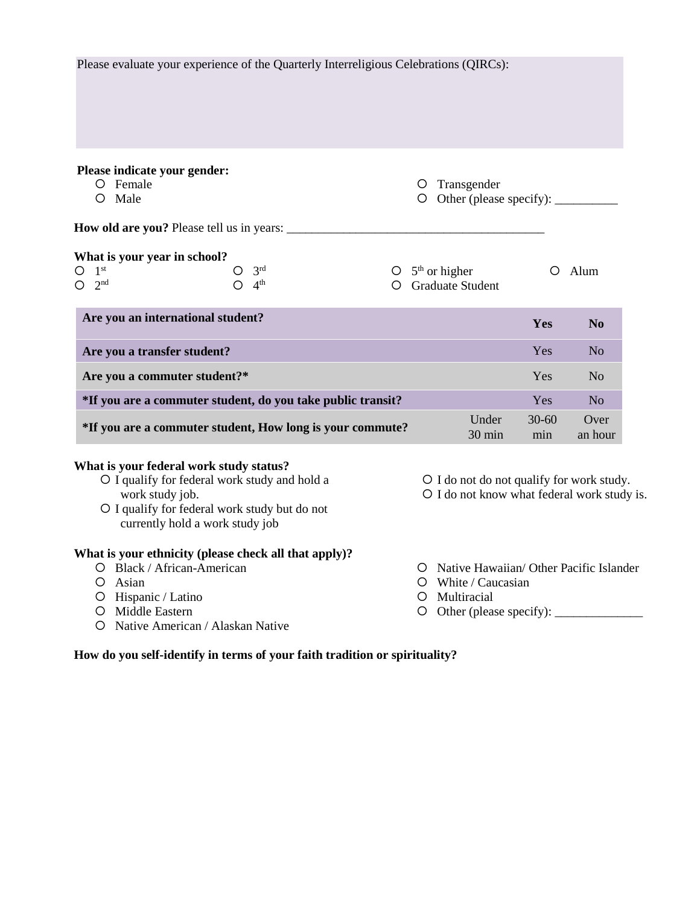Please evaluate your experience of the Quarterly Interreligious Celebrations (QIRCs):

| Please indicate your gender:<br>O Female<br>O Male                                                                                                   | O                                 | O Transgender                                                                            |                  |                 |
|------------------------------------------------------------------------------------------------------------------------------------------------------|-----------------------------------|------------------------------------------------------------------------------------------|------------------|-----------------|
| <b>How old are you?</b> Please tell us in years:                                                                                                     |                                   |                                                                                          |                  |                 |
| What is your year in school?<br>3 <sup>rd</sup><br>$O$ 1st<br>O<br>4 <sup>th</sup><br>2 <sub>nd</sub><br>O                                           | $\circ$ 5 <sup>th</sup> or higher | <b>Graduate Student</b>                                                                  | O                | Alum            |
| Are you an international student?                                                                                                                    |                                   |                                                                                          | Yes              | N <sub>0</sub>  |
| Are you a transfer student?                                                                                                                          |                                   |                                                                                          | Yes              | N <sub>o</sub>  |
| Are you a commuter student?*                                                                                                                         |                                   |                                                                                          | Yes              | N <sub>o</sub>  |
| *If you are a commuter student, do you take public transit?                                                                                          |                                   |                                                                                          | Yes              | N <sub>o</sub>  |
| *If you are a commuter student, How long is your commute?                                                                                            |                                   | Under<br>30 min                                                                          | $30 - 60$<br>min | Over<br>an hour |
| What is your federal work study status?                                                                                                              |                                   |                                                                                          |                  |                 |
| O I qualify for federal work study and hold a<br>work study job.<br>O I qualify for federal work study but do not<br>currently hold a work study job |                                   | O I do not do not qualify for work study.<br>O I do not know what federal work study is. |                  |                 |
| What is your ethnicity (please check all that apply)?                                                                                                |                                   |                                                                                          |                  |                 |
| O Black / African-American<br>Asian<br>O                                                                                                             | O<br>O                            | Native Hawaiian/ Other Pacific Islander<br>White / Caucasian                             |                  |                 |
| Hispanic / Latino<br>O                                                                                                                               |                                   | Multiracial                                                                              |                  |                 |
| Middle Eastern<br>O                                                                                                                                  | O                                 | Other (please specify): $\overline{\phantom{a}}$                                         |                  |                 |

- O Middle Eastern
- O Native American / Alaskan Native
- 
- **How do you self-identify in terms of your faith tradition or spirituality?**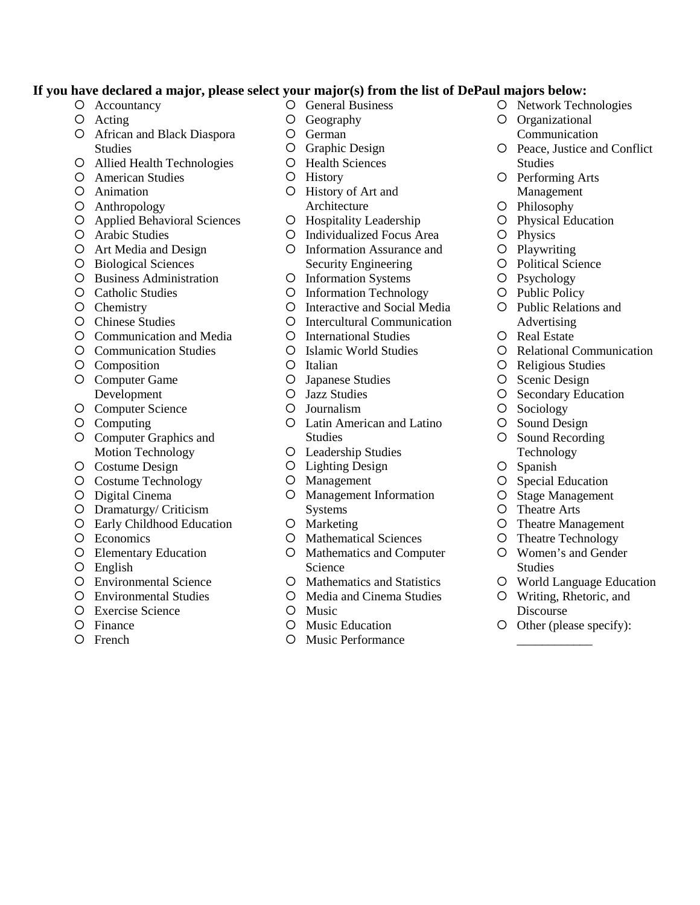#### **If you have declared a major, please select your major(s) from the list of DePaul majors below:**

- Accountancy
- Acting
- African and Black Diaspora Studies
- Allied Health Technologies
- American Studies
- Animation
- Anthropology
- Applied Behavioral Sciences
- Arabic Studies
- Art Media and Design
- O Biological Sciences
- Business Administration
- Catholic Studies
- O Chemistry
- O Chinese Studies
- Communication and Media
- Communication Studies
- Composition
- Computer Game Development
- O Computer Science
- Computing
- Computer Graphics and Motion Technology
- O Costume Design
- Costume Technology
- Digital Cinema
- Dramaturgy/ Criticism
- Early Childhood Education
- O Economics
- Elementary Education
- English
- Environmental Science
- Environmental Studies
- Exercise Science
- Finance
- O French
- General Business
- O Geography
- German
- Graphic Design
- O Health Sciences
- History
- History of Art and Architecture
- O Hospitality Leadership
- Individualized Focus Area
- Information Assurance and Security Engineering
- Information Systems
- Information Technology
- Interactive and Social Media
- Intercultural Communication
- International Studies
- Islamic World Studies
- O Italian
- Japanese Studies
- Jazz Studies
- Journalism
- Latin American and Latino **Studies**
- Leadership Studies
- Lighting Design
- Management
- Management Information Systems
- O Marketing
- O Mathematical Sciences
- O Mathematics and Computer Science
- Mathematics and Statistics
- O Media and Cinema Studies
- O Music
- Music Education
- Music Performance
- O Network Technologies Organizational
- Communication
- Peace, Justice and Conflict Studies
- O Performing Arts Management
- Philosophy
- Physical Education
- O Physics
- Playwriting
- O Political Science
- Psychology
- O Public Policy
- Public Relations and Advertising
- O Real Estate
- O Relational Communication
- O Religious Studies
- O Scenic Design
- O Secondary Education
- O Sociology
- O Sound Design
- O Sound Recording Technology
- O Spanish
- O Special Education
- O Stage Management
- Theatre Arts
- O Theatre Management
- Theatre Technology
- Women's and Gender Studies
- World Language Education
- Writing, Rhetoric, and Discourse
- Other (please specify):

\_\_\_\_\_\_\_\_\_\_\_\_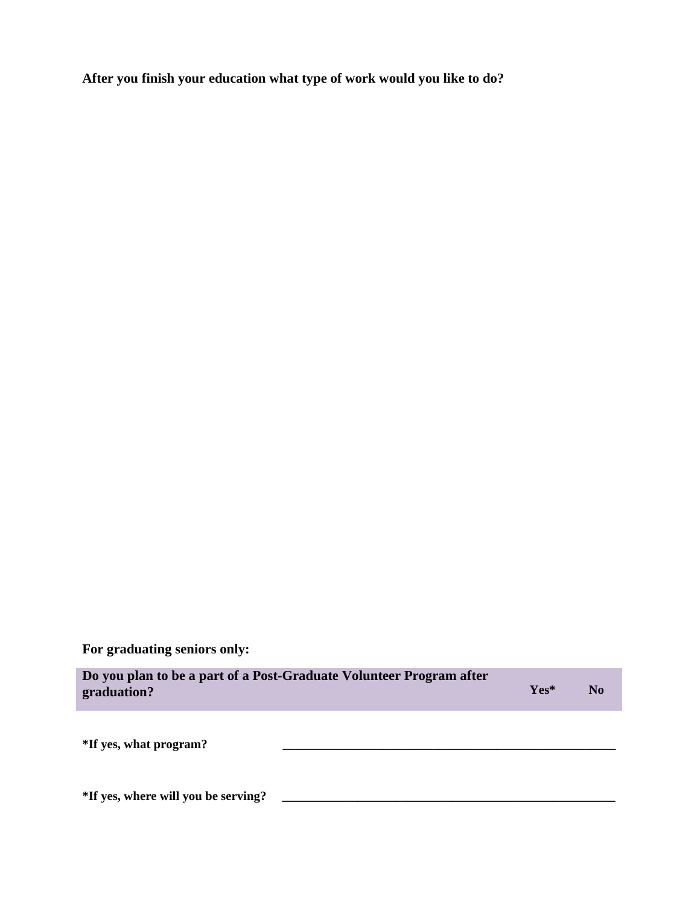**After you finish your education what type of work would you like to do?** 

**For graduating seniors only:**

| graduation?                         | Do you plan to be a part of a Post-Graduate Volunteer Program after | $Yes*$ | N <sub>0</sub> |
|-------------------------------------|---------------------------------------------------------------------|--------|----------------|
| *If yes, what program?              |                                                                     |        |                |
| *If yes, where will you be serving? |                                                                     |        |                |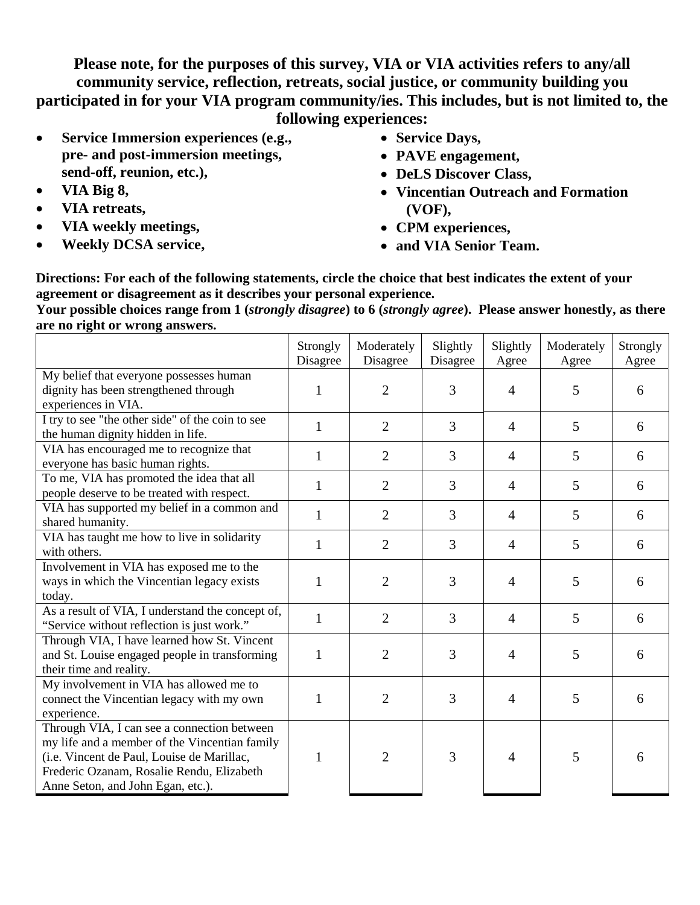**Please note, for the purposes of this survey, VIA or VIA activities refers to any/all community service, reflection, retreats, social justice, or community building you participated in for your VIA program community/ies. This includes, but is not limited to, the following experiences:**

- **Service Immersion experiences (e.g., pre- and post-immersion meetings, send-off, reunion, etc.),**
- **VIA Big 8,**
- **VIA retreats,**
- **VIA weekly meetings,**
- **Weekly DCSA service,**
- **Service Days,**
- **PAVE engagement,**
- **DeLS Discover Class,**
- **Vincentian Outreach and Formation (VOF),**
- **CPM experiences,**
- **and VIA Senior Team.**

**Directions: For each of the following statements, circle the choice that best indicates the extent of your agreement or disagreement as it describes your personal experience.**

**Your possible choices range from 1 (***strongly disagree***) to 6 (***strongly agree***). Please answer honestly, as there are no right or wrong answers.**

|                                                                                                                                                                                                                              | Strongly<br>Disagree | Moderately<br>Disagree | Slightly<br>Disagree | Slightly<br>Agree | Moderately<br>Agree | Strongly<br>Agree |
|------------------------------------------------------------------------------------------------------------------------------------------------------------------------------------------------------------------------------|----------------------|------------------------|----------------------|-------------------|---------------------|-------------------|
| My belief that everyone possesses human<br>dignity has been strengthened through<br>experiences in VIA.                                                                                                                      | 1                    | $\overline{2}$         | 3                    | $\overline{4}$    | 5                   | 6                 |
| I try to see "the other side" of the coin to see<br>the human dignity hidden in life.                                                                                                                                        | $\mathbf{1}$         | $\overline{2}$         | 3                    | $\overline{4}$    | 5                   | 6                 |
| VIA has encouraged me to recognize that<br>everyone has basic human rights.                                                                                                                                                  | $\mathbf{1}$         | $\overline{2}$         | 3                    | $\overline{4}$    | 5                   | 6                 |
| To me, VIA has promoted the idea that all<br>people deserve to be treated with respect.                                                                                                                                      | 1                    | $\overline{2}$         | 3                    | 4                 | 5                   | 6                 |
| VIA has supported my belief in a common and<br>shared humanity.                                                                                                                                                              | $\mathbf{1}$         | $\overline{2}$         | 3                    | $\overline{4}$    | 5                   | 6                 |
| VIA has taught me how to live in solidarity<br>with others.                                                                                                                                                                  | $\mathbf{1}$         | $\overline{2}$         | 3                    | $\overline{4}$    | 5                   | 6                 |
| Involvement in VIA has exposed me to the<br>ways in which the Vincentian legacy exists<br>today.                                                                                                                             | $\mathbf{1}$         | $\overline{2}$         | 3                    | $\overline{4}$    | 5                   | 6                 |
| As a result of VIA, I understand the concept of,<br>"Service without reflection is just work."                                                                                                                               | $\mathbf{1}$         | $\overline{2}$         | 3                    | $\overline{4}$    | 5                   | 6                 |
| Through VIA, I have learned how St. Vincent<br>and St. Louise engaged people in transforming<br>their time and reality.                                                                                                      | $\mathbf{1}$         | $\overline{2}$         | 3                    | 4                 | 5                   | 6                 |
| My involvement in VIA has allowed me to<br>connect the Vincentian legacy with my own<br>experience.                                                                                                                          | $\mathbf{1}$         | $\overline{2}$         | 3                    | $\overline{4}$    | 5                   | 6                 |
| Through VIA, I can see a connection between<br>my life and a member of the Vincentian family<br>(i.e. Vincent de Paul, Louise de Marillac,<br>Frederic Ozanam, Rosalie Rendu, Elizabeth<br>Anne Seton, and John Egan, etc.). | 1                    | 2                      | 3                    | 4                 | 5                   | 6                 |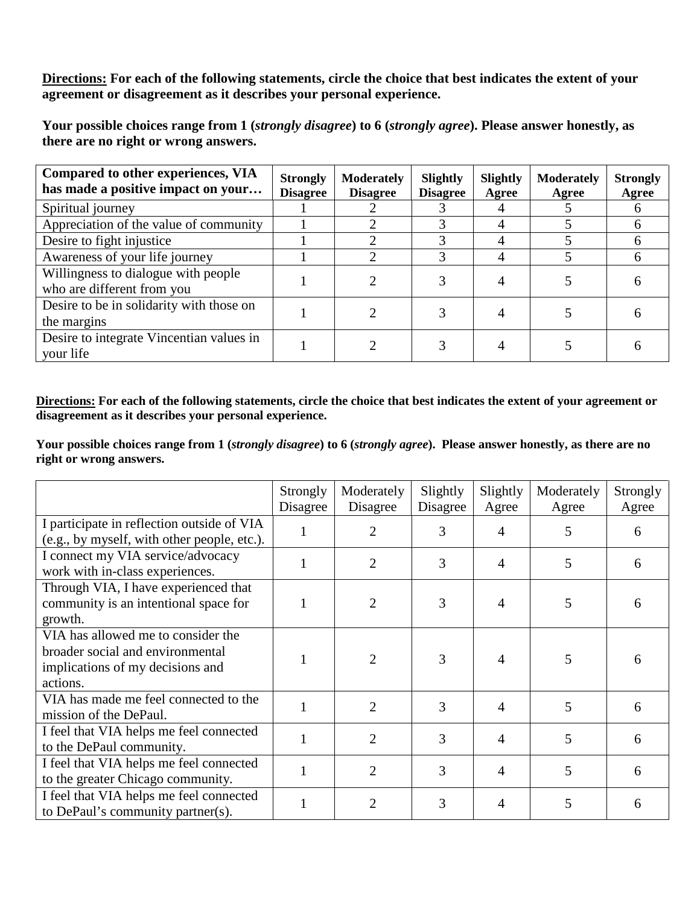**Directions: For each of the following statements, circle the choice that best indicates the extent of your agreement or disagreement as it describes your personal experience.** 

**Your possible choices range from 1 (***strongly disagree***) to 6 (***strongly agree***). Please answer honestly, as there are no right or wrong answers.** 

| Compared to other experiences, VIA<br>has made a positive impact on your | <b>Strongly</b><br><b>Disagree</b> | <b>Moderately</b><br><b>Disagree</b> | Slightly<br><b>Disagree</b> | Slightly<br>Agree | <b>Moderately</b><br>Agree | <b>Strongly</b><br>Agree |
|--------------------------------------------------------------------------|------------------------------------|--------------------------------------|-----------------------------|-------------------|----------------------------|--------------------------|
| Spiritual journey                                                        |                                    |                                      |                             |                   |                            |                          |
| Appreciation of the value of community                                   |                                    |                                      |                             |                   |                            |                          |
| Desire to fight injustice                                                |                                    |                                      |                             |                   |                            |                          |
| Awareness of your life journey                                           |                                    |                                      |                             |                   |                            |                          |
| Willingness to dialogue with people<br>who are different from you        |                                    |                                      |                             |                   |                            |                          |
| Desire to be in solidarity with those on<br>the margins                  |                                    |                                      |                             |                   |                            |                          |
| Desire to integrate Vincentian values in<br>your life                    |                                    |                                      |                             |                   |                            |                          |

**Directions: For each of the following statements, circle the choice that best indicates the extent of your agreement or disagreement as it describes your personal experience.**

**Your possible choices range from 1 (***strongly disagree***) to 6 (***strongly agree***). Please answer honestly, as there are no right or wrong answers.**

|                                             | Strongly<br>Disagree | Moderately<br>Disagree | Slightly<br>Disagree | Slightly<br>Agree | Moderately<br>Agree | Strongly<br>Agree |
|---------------------------------------------|----------------------|------------------------|----------------------|-------------------|---------------------|-------------------|
| I participate in reflection outside of VIA  |                      | 2.                     | 3                    | 4                 | 5                   | 6                 |
| (e.g., by myself, with other people, etc.). |                      |                        |                      |                   |                     |                   |
| I connect my VIA service/advocacy           |                      | 2                      | 3                    | 4                 | 5                   | 6                 |
| work with in-class experiences.             |                      |                        |                      |                   |                     |                   |
| Through VIA, I have experienced that        |                      |                        |                      |                   |                     |                   |
| community is an intentional space for       |                      | 2                      | 3                    | $\overline{A}$    | 5                   | 6                 |
| growth.                                     |                      |                        |                      |                   |                     |                   |
| VIA has allowed me to consider the          |                      |                        |                      |                   |                     |                   |
| broader social and environmental            |                      |                        | 3                    | 4                 | 5                   | h                 |
| implications of my decisions and            |                      |                        |                      |                   |                     |                   |
| actions.                                    |                      |                        |                      |                   |                     |                   |
| VIA has made me feel connected to the       |                      | 2                      | 3                    | 4                 | 5                   | 6                 |
| mission of the DePaul.                      |                      |                        |                      |                   |                     |                   |
| I feel that VIA helps me feel connected     |                      | 2                      | 3                    | 4                 | 5                   | 6                 |
| to the DePaul community.                    |                      |                        |                      |                   |                     |                   |
| I feel that VIA helps me feel connected     |                      | $\mathfrak{D}$         | 3                    | $\overline{4}$    | 5                   | 6                 |
| to the greater Chicago community.           |                      |                        |                      |                   |                     |                   |
| I feel that VIA helps me feel connected     |                      | $\mathcal{D}_{\cdot}$  | 3                    | 4                 | 5                   | 6                 |
| to DePaul's community partner(s).           |                      |                        |                      |                   |                     |                   |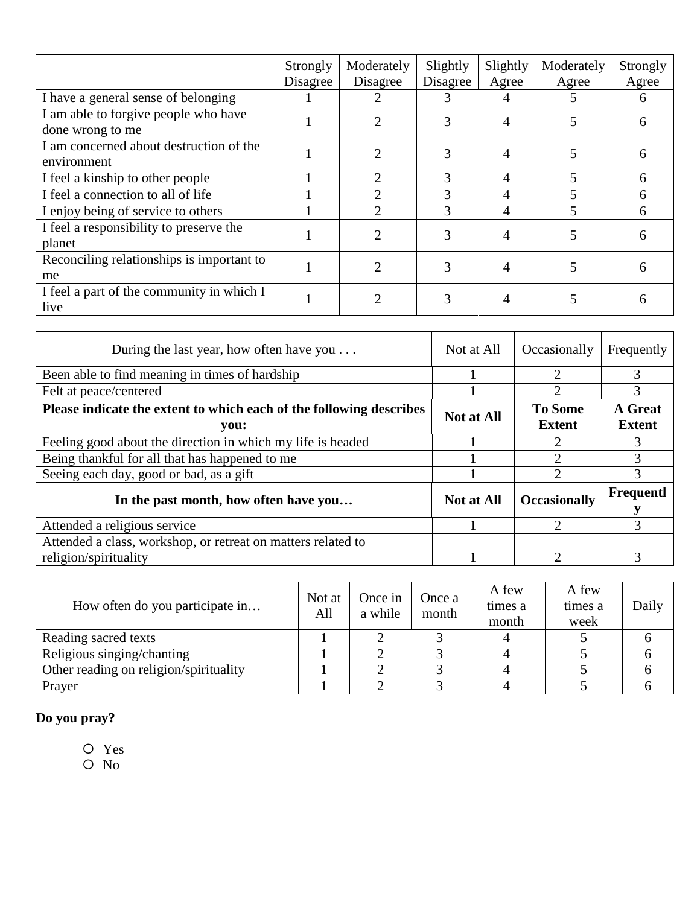|                                           | Strongly<br>Disagree | Moderately<br>Disagree      | Slightly<br>Disagree | Slightly<br>Agree | Moderately<br>Agree | Strongly<br>Agree |
|-------------------------------------------|----------------------|-----------------------------|----------------------|-------------------|---------------------|-------------------|
| I have a general sense of belonging       |                      |                             | 3                    | 4                 |                     | 6                 |
| I am able to forgive people who have      |                      |                             |                      | 4                 |                     | <sub>6</sub>      |
| done wrong to me                          |                      |                             |                      |                   |                     |                   |
| I am concerned about destruction of the   |                      |                             | 3                    | 4                 |                     |                   |
| environment                               |                      |                             |                      |                   |                     |                   |
| I feel a kinship to other people          |                      |                             |                      | 4                 |                     | 6                 |
| I feel a connection to all of life        |                      | $\mathfrak{D}$              | 3                    | 4                 |                     | 6                 |
| I enjoy being of service to others        |                      | $\mathcal{D}_{\mathcal{L}}$ | 3                    | 4                 |                     | 6                 |
| I feel a responsibility to preserve the   |                      | 2                           | 3                    | 4                 | 5                   | 6                 |
| planet                                    |                      |                             |                      |                   |                     |                   |
| Reconciling relationships is important to |                      |                             | 3                    | 4                 |                     |                   |
| me                                        |                      |                             |                      |                   |                     |                   |
| I feel a part of the community in which I |                      |                             |                      | 4                 |                     |                   |
| live                                      |                      |                             |                      |                   |                     |                   |

| During the last year, how often have you $\dots$                                      | Not at All        | Occasionally                    | Frequently                      |
|---------------------------------------------------------------------------------------|-------------------|---------------------------------|---------------------------------|
| Been able to find meaning in times of hardship                                        |                   | ◠                               | 3                               |
| Felt at peace/centered                                                                |                   | 2                               | 3                               |
| Please indicate the extent to which each of the following describes<br>you:           | <b>Not at All</b> | <b>To Some</b><br><b>Extent</b> | <b>A</b> Great<br><b>Extent</b> |
| Feeling good about the direction in which my life is headed                           |                   | 2                               | 3                               |
| Being thankful for all that has happened to me                                        |                   |                                 | 3                               |
| Seeing each day, good or bad, as a gift                                               |                   | ◠                               | 3                               |
| In the past month, how often have you                                                 | <b>Not at All</b> | <b>Occasionally</b>             | Frequentl                       |
| Attended a religious service                                                          |                   | 2                               | 3                               |
| Attended a class, workshop, or retreat on matters related to<br>religion/spirituality |                   |                                 | 3                               |

| How often do you participate in        | Not at<br>All | Once in<br>a while | Once a<br>month | A few<br>times a<br>month | A few<br>times a<br>week | Daily |
|----------------------------------------|---------------|--------------------|-----------------|---------------------------|--------------------------|-------|
| Reading sacred texts                   |               |                    |                 |                           |                          |       |
| Religious singing/chanting             |               |                    |                 |                           |                          |       |
| Other reading on religion/spirituality |               |                    |                 |                           |                          |       |
| Prayer                                 |               |                    |                 |                           |                          |       |

# **Do you pray?**

- Yes
- O No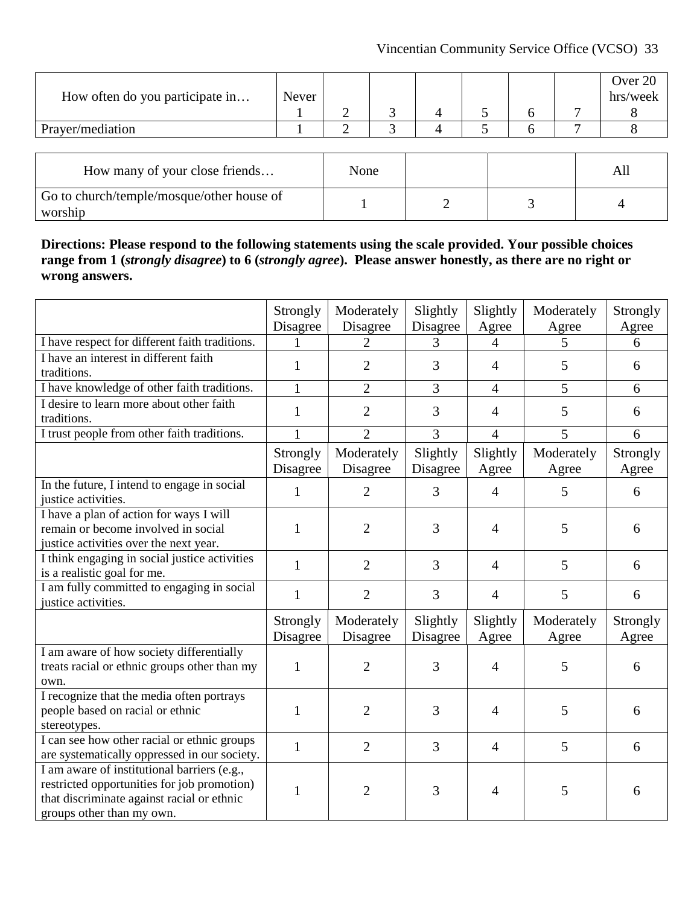| How often do you participate in | Never |  |  |  | Over 20<br>hrs/week |
|---------------------------------|-------|--|--|--|---------------------|
|                                 |       |  |  |  |                     |
| Prayer/mediation                |       |  |  |  |                     |
|                                 |       |  |  |  |                     |

| How many of your close friends                       | None |  |  |
|------------------------------------------------------|------|--|--|
| Go to church/temple/mosque/other house of<br>worship |      |  |  |

**Directions: Please respond to the following statements using the scale provided. Your possible choices range from 1 (***strongly disagree***) to 6 (***strongly agree***). Please answer honestly, as there are no right or wrong answers.**

|                                                                                                                                                                       | Strongly<br>Disagree | Moderately<br>Disagree | Slightly<br>Disagree | Slightly<br>Agree | Moderately<br>Agree | Strongly<br>Agree |
|-----------------------------------------------------------------------------------------------------------------------------------------------------------------------|----------------------|------------------------|----------------------|-------------------|---------------------|-------------------|
| I have respect for different faith traditions.                                                                                                                        | 1                    | $\overline{2}$         | 3                    | 4                 | 5                   | 6                 |
| I have an interest in different faith<br>traditions.                                                                                                                  | 1                    | 2                      | 3                    | $\overline{4}$    | 5                   | 6                 |
| I have knowledge of other faith traditions.                                                                                                                           | $\mathbf{1}$         | $\overline{2}$         | 3                    | $\overline{4}$    | 5                   | 6                 |
| I desire to learn more about other faith<br>traditions.                                                                                                               | $\mathbf{1}$         | $\overline{2}$         | 3                    | 4                 | 5                   | 6                 |
| I trust people from other faith traditions.                                                                                                                           |                      | $\overline{2}$         | 3                    | $\overline{4}$    | 5                   | 6                 |
|                                                                                                                                                                       | Strongly<br>Disagree | Moderately<br>Disagree | Slightly<br>Disagree | Slightly<br>Agree | Moderately<br>Agree | Strongly<br>Agree |
| In the future, I intend to engage in social<br>justice activities.                                                                                                    | 1                    | $\overline{2}$         | 3                    | $\overline{4}$    | 5                   | 6                 |
| I have a plan of action for ways I will<br>remain or become involved in social<br>justice activities over the next year.                                              | $\mathbf{1}$         | $\overline{2}$         | 3                    | 4                 | 5                   | 6                 |
| I think engaging in social justice activities<br>is a realistic goal for me.                                                                                          | $\mathbf{1}$         | $\overline{2}$         | 3                    | $\overline{4}$    | 5                   | 6                 |
| I am fully committed to engaging in social<br>justice activities.                                                                                                     | $\mathbf{1}$         | $\overline{2}$         | 3                    | 4                 | 5                   | 6                 |
|                                                                                                                                                                       | Strongly<br>Disagree | Moderately<br>Disagree | Slightly<br>Disagree | Slightly<br>Agree | Moderately<br>Agree | Strongly<br>Agree |
| I am aware of how society differentially<br>treats racial or ethnic groups other than my<br>own.                                                                      | 1                    | 2                      | 3                    | 4                 | 5                   | 6                 |
| I recognize that the media often portrays<br>people based on racial or ethnic<br>stereotypes.                                                                         | 1                    | $\overline{2}$         | 3                    | 4                 | 5                   | 6                 |
| I can see how other racial or ethnic groups<br>are systematically oppressed in our society.                                                                           | $\mathbf{1}$         | $\overline{2}$         | 3                    | $\overline{4}$    | 5                   | 6                 |
| I am aware of institutional barriers (e.g.,<br>restricted opportunities for job promotion)<br>that discriminate against racial or ethnic<br>groups other than my own. | 1                    | 2                      | 3                    | 4                 | 5                   | 6                 |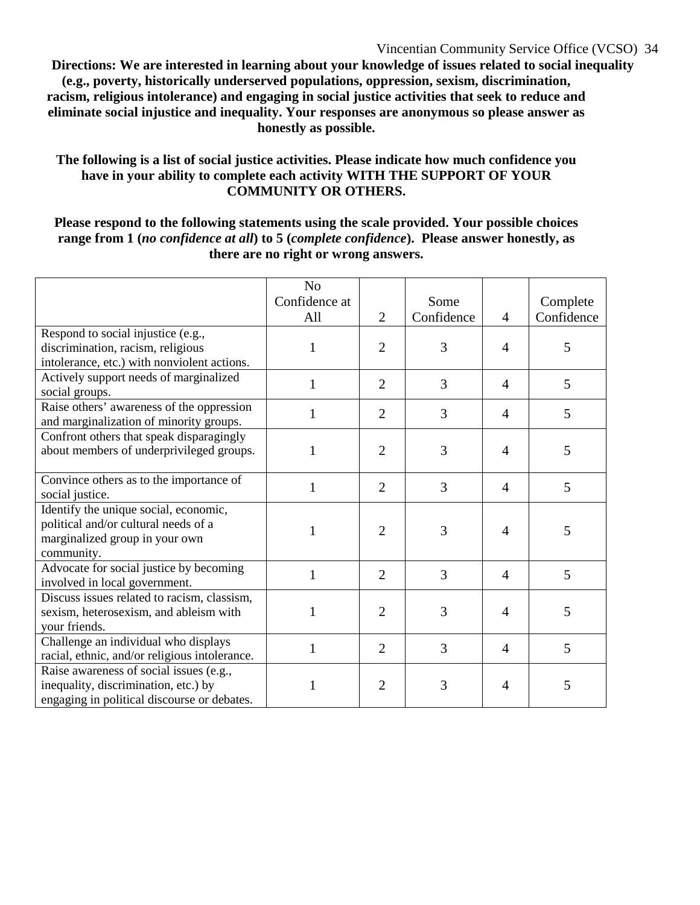### Vincentian Community Service Office (VCSO) 34

**Directions: We are interested in learning about your knowledge of issues related to social inequality (e.g., poverty, historically underserved populations, oppression, sexism, discrimination, racism, religious intolerance) and engaging in social justice activities that seek to reduce and eliminate social injustice and inequality. Your responses are anonymous so please answer as honestly as possible.**

# **The following is a list of social justice activities. Please indicate how much confidence you have in your ability to complete each activity WITH THE SUPPORT OF YOUR COMMUNITY OR OTHERS.**

**Please respond to the following statements using the scale provided. Your possible choices range from 1 (***no confidence at all***) to 5 (***complete confidence***). Please answer honestly, as there are no right or wrong answers.**

|                                                       | N <sub>o</sub> |                |            |                |            |
|-------------------------------------------------------|----------------|----------------|------------|----------------|------------|
|                                                       | Confidence at  |                | Some       |                | Complete   |
|                                                       | All            | $\overline{2}$ | Confidence | $\overline{4}$ | Confidence |
| Respond to social injustice (e.g.,                    |                |                |            |                |            |
| discrimination, racism, religious                     | 1              | $\overline{2}$ | 3          | $\overline{4}$ | 5          |
| intolerance, etc.) with nonviolent actions.           |                |                |            |                |            |
| Actively support needs of marginalized                | $\mathbf{1}$   | $\overline{2}$ | 3          | $\overline{4}$ | 5          |
| social groups.                                        |                |                |            |                |            |
| Raise others' awareness of the oppression             | $\mathbf{1}$   | $\overline{2}$ | 3          | 4              | 5          |
| and marginalization of minority groups.               |                |                |            |                |            |
| Confront others that speak disparagingly              |                |                |            |                |            |
| about members of underprivileged groups.              | 1              | $\overline{2}$ | 3          | $\overline{4}$ | 5          |
|                                                       |                |                |            |                |            |
| Convince others as to the importance of               | 1              | $\overline{2}$ | 3          | $\overline{4}$ | 5          |
| social justice.                                       |                |                |            |                |            |
| Identify the unique social, economic,                 |                |                |            |                |            |
| political and/or cultural needs of a                  | $\mathbf{1}$   | $\overline{2}$ | 3          | $\overline{4}$ | 5          |
| marginalized group in your own                        |                |                |            |                |            |
| community.<br>Advocate for social justice by becoming |                |                |            |                |            |
| involved in local government.                         | 1              | $\overline{2}$ | 3          | $\overline{4}$ | 5          |
| Discuss issues related to racism, classism,           |                |                |            |                |            |
| sexism, heterosexism, and ableism with                | $\mathbf{1}$   | $\overline{2}$ | 3          | $\overline{4}$ | 5          |
| your friends.                                         |                |                |            |                |            |
| Challenge an individual who displays                  |                |                |            |                |            |
| racial, ethnic, and/or religious intolerance.         | 1              | $\overline{2}$ | 3          | 4              | 5          |
| Raise awareness of social issues (e.g.,               |                |                |            |                |            |
| inequality, discrimination, etc.) by                  | 1              | $\overline{2}$ | 3          | $\overline{4}$ | 5          |
| engaging in political discourse or debates.           |                |                |            |                |            |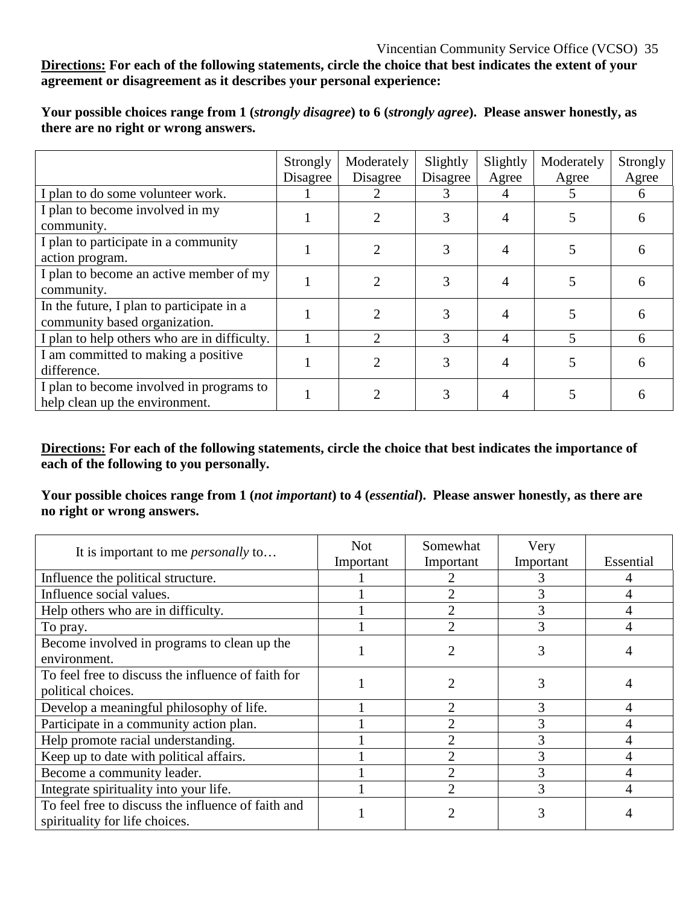# Vincentian Community Service Office (VCSO) 35

# **Directions: For each of the following statements, circle the choice that best indicates the extent of your agreement or disagreement as it describes your personal experience:**

**Your possible choices range from 1 (***strongly disagree***) to 6 (***strongly agree***). Please answer honestly, as there are no right or wrong answers.**

|                                                                            | Strongly<br>Disagree | Moderately<br>Disagree      | Slightly<br>Disagree | Slightly<br>Agree | Moderately<br>Agree | Strongly<br>Agree |
|----------------------------------------------------------------------------|----------------------|-----------------------------|----------------------|-------------------|---------------------|-------------------|
| I plan to do some volunteer work.                                          |                      |                             | 3                    | 4                 |                     | 6                 |
| I plan to become involved in my<br>community.                              |                      |                             |                      | 4                 |                     | 6                 |
| I plan to participate in a community<br>action program.                    |                      |                             | 3                    | 4                 |                     |                   |
| I plan to become an active member of my<br>community.                      |                      |                             | 3                    | 4                 |                     | 6                 |
| In the future, I plan to participate in a<br>community based organization. |                      |                             |                      |                   |                     |                   |
| I plan to help others who are in difficulty.                               |                      | $\mathcal{D}_{\mathcal{L}}$ | 3                    | 4                 |                     | 6                 |
| I am committed to making a positive<br>difference.                         |                      |                             | 3                    | 4                 |                     | 6                 |
| I plan to become involved in programs to<br>help clean up the environment. |                      |                             |                      |                   |                     |                   |

# **Directions: For each of the following statements, circle the choice that best indicates the importance of each of the following to you personally.**

**Your possible choices range from 1 (***not important***) to 4 (***essential***). Please answer honestly, as there are no right or wrong answers.**

| It is important to me <i>personally</i> to         | <b>Not</b> | Somewhat       | Very      |           |  |
|----------------------------------------------------|------------|----------------|-----------|-----------|--|
|                                                    | Important  | Important      | Important | Essential |  |
| Influence the political structure.                 |            |                |           |           |  |
| Influence social values.                           |            | $\overline{2}$ |           |           |  |
| Help others who are in difficulty.                 |            | 2              |           |           |  |
| To pray.                                           |            | $\overline{2}$ |           |           |  |
| Become involved in programs to clean up the        |            |                | 3         |           |  |
| environment.                                       |            |                |           |           |  |
| To feel free to discuss the influence of faith for |            | 2              | 3         |           |  |
| political choices.                                 |            |                |           |           |  |
| Develop a meaningful philosophy of life.           |            | 2              |           |           |  |
| Participate in a community action plan.            |            | $\overline{2}$ |           |           |  |
| Help promote racial understanding.                 |            | $\overline{2}$ | 3         |           |  |
| Keep up to date with political affairs.            |            | $\overline{2}$ | 3         |           |  |
| Become a community leader.                         |            | $\overline{2}$ |           |           |  |
| Integrate spirituality into your life.             |            | $\overline{2}$ | 3         | Δ         |  |
| To feel free to discuss the influence of faith and |            |                |           |           |  |
| spirituality for life choices.                     |            |                |           |           |  |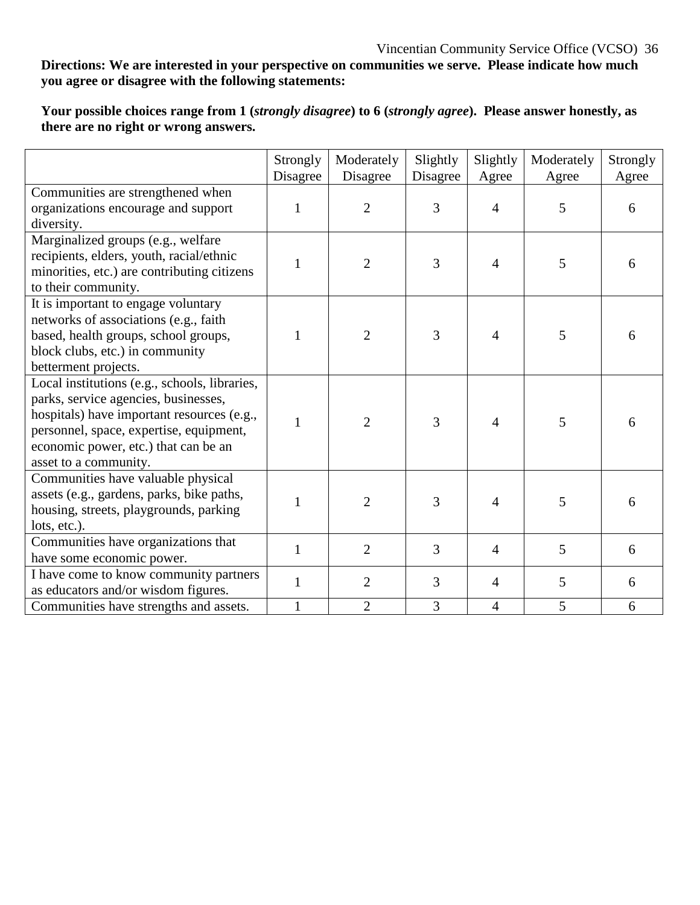**Directions: We are interested in your perspective on communities we serve. Please indicate how much you agree or disagree with the following statements:**

**Your possible choices range from 1 (***strongly disagree***) to 6 (***strongly agree***). Please answer honestly, as there are no right or wrong answers.**

|                                               | Strongly<br>Disagree | Moderately<br>Disagree | Slightly<br>Disagree | Slightly<br>Agree | Moderately<br>Agree | Strongly<br>Agree |
|-----------------------------------------------|----------------------|------------------------|----------------------|-------------------|---------------------|-------------------|
| Communities are strengthened when             |                      |                        |                      |                   |                     |                   |
| organizations encourage and support           | $\mathbf{1}$         | $\overline{2}$         | 3                    | $\overline{4}$    | 5                   | 6                 |
| diversity.                                    |                      |                        |                      |                   |                     |                   |
| Marginalized groups (e.g., welfare            |                      |                        |                      |                   |                     |                   |
| recipients, elders, youth, racial/ethnic      | 1                    | $\overline{2}$         | 3                    | $\overline{4}$    | 5                   | 6                 |
| minorities, etc.) are contributing citizens   |                      |                        |                      |                   |                     |                   |
| to their community.                           |                      |                        |                      |                   |                     |                   |
| It is important to engage voluntary           |                      |                        |                      |                   |                     |                   |
| networks of associations (e.g., faith         |                      |                        |                      |                   |                     |                   |
| based, health groups, school groups,          | 1                    | 2                      | 3                    | $\overline{4}$    | 5                   | 6                 |
| block clubs, etc.) in community               |                      |                        |                      |                   |                     |                   |
| betterment projects.                          |                      |                        |                      |                   |                     |                   |
| Local institutions (e.g., schools, libraries, |                      |                        |                      |                   |                     |                   |
| parks, service agencies, businesses,          |                      |                        |                      |                   |                     |                   |
| hospitals) have important resources (e.g.,    | 1                    | $\overline{2}$         | 3                    | $\overline{4}$    | 5                   | 6                 |
| personnel, space, expertise, equipment,       |                      |                        |                      |                   |                     |                   |
| economic power, etc.) that can be an          |                      |                        |                      |                   |                     |                   |
| asset to a community.                         |                      |                        |                      |                   |                     |                   |
| Communities have valuable physical            |                      |                        |                      |                   |                     |                   |
| assets (e.g., gardens, parks, bike paths,     |                      | $\overline{2}$         | 3                    | $\overline{4}$    | 5                   | 6                 |
| housing, streets, playgrounds, parking        |                      |                        |                      |                   |                     |                   |
| lots, etc.).                                  |                      |                        |                      |                   |                     |                   |
| Communities have organizations that           | 1                    | $\overline{2}$         | 3                    | $\overline{4}$    | 5                   | 6                 |
| have some economic power.                     |                      |                        |                      |                   |                     |                   |
| I have come to know community partners        | $\mathbf{1}$         | $\overline{2}$         | 3                    | $\overline{4}$    | 5                   | 6                 |
| as educators and/or wisdom figures.           |                      |                        |                      |                   |                     |                   |
| Communities have strengths and assets.        | $\mathbf{1}$         | $\overline{2}$         | 3                    | $\overline{4}$    | 5                   | 6                 |